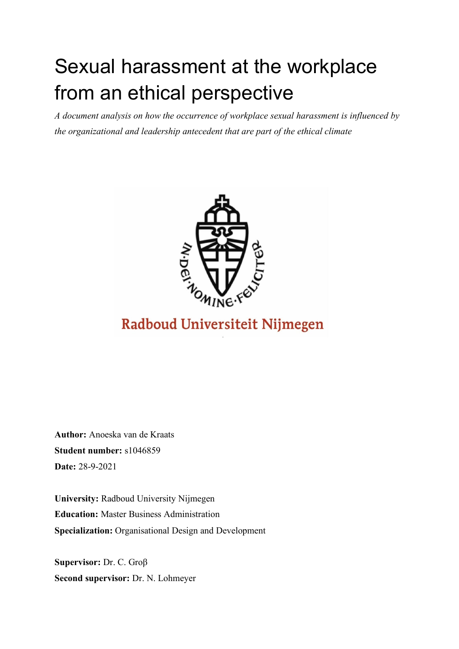# Sexual harassment at the workplace from an ethical perspective

*A document analysis on how the occurrence of workplace sexual harassment is influenced by the organizational and leadership antecedent that are part of the ethical climate* 



## Radboud Universiteit Nijmegen

**Author:** Anoeska van de Kraats **Student number:** s1046859 **Date:** 28-9-2021

**University:** Radboud University Nijmegen **Education:** Master Business Administration **Specialization:** Organisational Design and Development

**Supervisor:** Dr. C. Groβ **Second supervisor:** Dr. N. Lohmeyer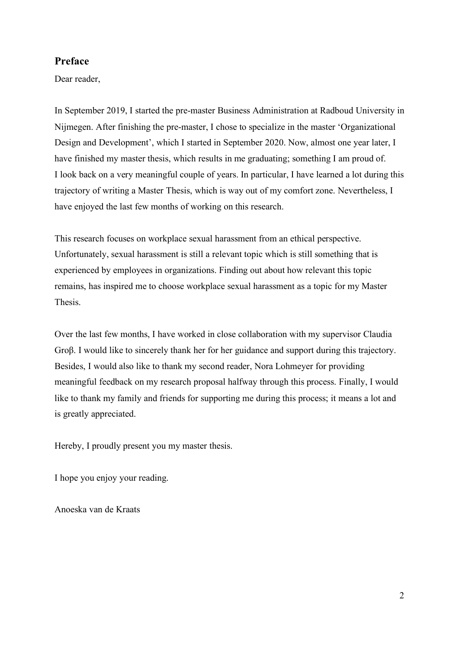## **Preface**

Dear reader,

In September 2019, I started the pre-master Business Administration at Radboud University in Nijmegen. After finishing the pre-master, I chose to specialize in the master 'Organizational Design and Development', which I started in September 2020. Now, almost one year later, I have finished my master thesis, which results in me graduating; something I am proud of. I look back on a very meaningful couple of years. In particular, I have learned a lot during this trajectory of writing a Master Thesis, which is way out of my comfort zone. Nevertheless, I have enjoyed the last few months of working on this research.

This research focuses on workplace sexual harassment from an ethical perspective. Unfortunately, sexual harassment is still a relevant topic which is still something that is experienced by employees in organizations. Finding out about how relevant this topic remains, has inspired me to choose workplace sexual harassment as a topic for my Master Thesis.

Over the last few months, I have worked in close collaboration with my supervisor Claudia Groβ. I would like to sincerely thank her for her guidance and support during this trajectory. Besides, I would also like to thank my second reader, Nora Lohmeyer for providing meaningful feedback on my research proposal halfway through this process. Finally, I would like to thank my family and friends for supporting me during this process; it means a lot and is greatly appreciated.

Hereby, I proudly present you my master thesis.

I hope you enjoy your reading.

Anoeska van de Kraats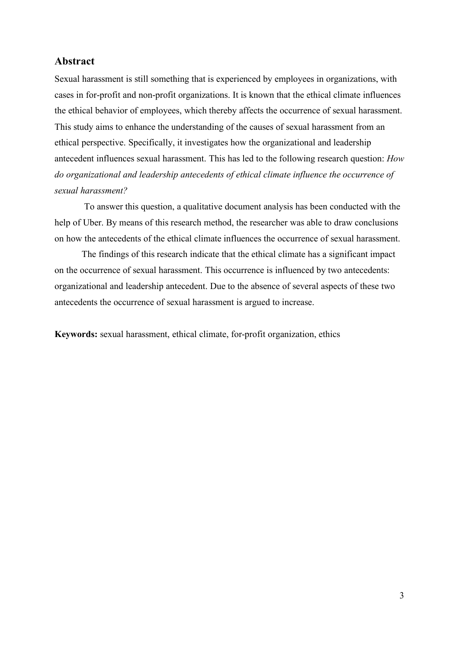## **Abstract**

Sexual harassment is still something that is experienced by employees in organizations, with cases in for-profit and non-profit organizations. It is known that the ethical climate influences the ethical behavior of employees, which thereby affects the occurrence of sexual harassment. This study aims to enhance the understanding of the causes of sexual harassment from an ethical perspective. Specifically, it investigates how the organizational and leadership antecedent influences sexual harassment. This has led to the following research question: *How do organizational and leadership antecedents of ethical climate influence the occurrence of sexual harassment?*

To answer this question, a qualitative document analysis has been conducted with the help of Uber. By means of this research method, the researcher was able to draw conclusions on how the antecedents of the ethical climate influences the occurrence of sexual harassment.

The findings of this research indicate that the ethical climate has a significant impact on the occurrence of sexual harassment. This occurrence is influenced by two antecedents: organizational and leadership antecedent. Due to the absence of several aspects of these two antecedents the occurrence of sexual harassment is argued to increase.

**Keywords:** sexual harassment, ethical climate, for-profit organization, ethics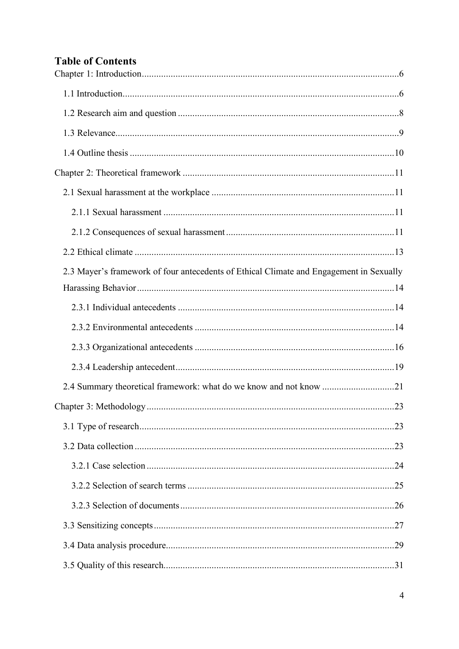## **Table of Contents**

| 2.3 Mayer's framework of four antecedents of Ethical Climate and Engagement in Sexually |  |
|-----------------------------------------------------------------------------------------|--|
|                                                                                         |  |
|                                                                                         |  |
|                                                                                         |  |
|                                                                                         |  |
|                                                                                         |  |
| 2.4 Summary theoretical framework: what do we know and not know 21                      |  |
|                                                                                         |  |
|                                                                                         |  |
|                                                                                         |  |
|                                                                                         |  |
|                                                                                         |  |
|                                                                                         |  |
|                                                                                         |  |
|                                                                                         |  |
|                                                                                         |  |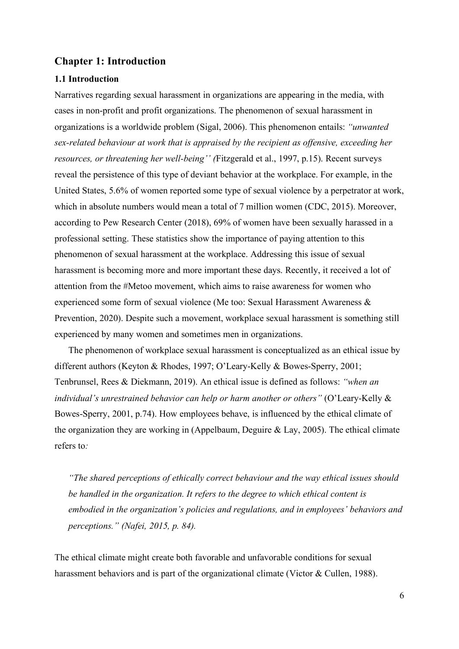#### <span id="page-5-0"></span>**Chapter 1: Introduction**

#### <span id="page-5-1"></span>**1.1 Introduction**

Narratives regarding sexual harassment in organizations are appearing in the media, with cases in non-profit and profit organizations. The phenomenon of sexual harassment in organizations is a worldwide problem (Sigal, 2006). This phenomenon entails: *"unwanted sex-related behaviour at work that is appraised by the recipient as offensive, exceeding her resources, or threatening her well-being'' (*Fitzgerald et al., 1997, p.15). Recent surveys reveal the persistence of this type of deviant behavior at the workplace. For example, in the United States, 5.6% of women reported some type of sexual violence by a perpetrator at work, which in absolute numbers would mean a total of 7 million women (CDC, 2015). Moreover, according to Pew Research Center (2018), 69% of women have been sexually harassed in a professional setting. These statistics show the importance of paying attention to this phenomenon of sexual harassment at the workplace. Addressing this issue of sexual harassment is becoming more and more important these days. Recently, it received a lot of attention from the #Metoo movement, which aims to raise awareness for women who experienced some form of sexual violence (Me too: Sexual Harassment Awareness & Prevention, 2020). Despite such a movement, workplace sexual harassment is something still experienced by many women and sometimes men in organizations.

The phenomenon of workplace sexual harassment is conceptualized as an ethical issue by different authors (Keyton & Rhodes, 1997; O'Leary-Kelly & Bowes-Sperry, 2001; Tenbrunsel, Rees & Diekmann, 2019). An ethical issue is defined as follows: *"when an individual's unrestrained behavior can help or harm another or others"* (O'Leary-Kelly & Bowes-Sperry, 2001, p.74). How employees behave, is influenced by the ethical climate of the organization they are working in (Appelbaum, Deguire & Lay, 2005). The ethical climate refers to*:*

*"The shared perceptions of ethically correct behaviour and the way ethical issues should be handled in the organization. It refers to the degree to which ethical content is embodied in the organization's policies and regulations, and in employees' behaviors and perceptions." (Nafei, 2015, p. 84).* 

The ethical climate might create both favorable and unfavorable conditions for sexual harassment behaviors and is part of the organizational climate (Victor & Cullen, 1988).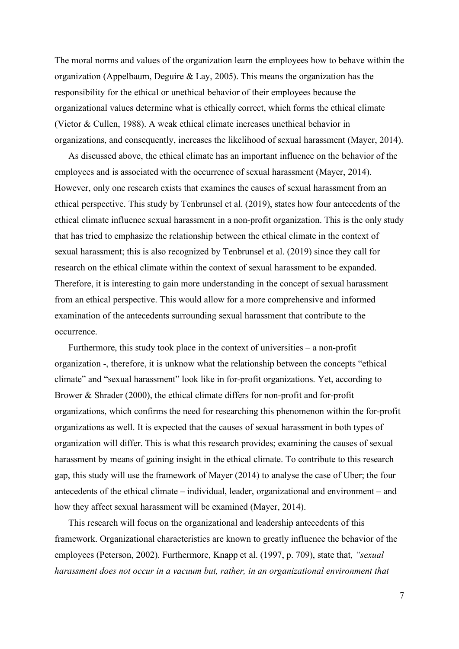The moral norms and values of the organization learn the employees how to behave within the organization (Appelbaum, Deguire & Lay, 2005). This means the organization has the responsibility for the ethical or unethical behavior of their employees because the organizational values determine what is ethically correct, which forms the ethical climate (Victor & Cullen, 1988). A weak ethical climate increases unethical behavior in organizations, and consequently, increases the likelihood of sexual harassment (Mayer, 2014).

As discussed above, the ethical climate has an important influence on the behavior of the employees and is associated with the occurrence of sexual harassment (Mayer, 2014). However, only one research exists that examines the causes of sexual harassment from an ethical perspective. This study by Tenbrunsel et al. (2019), states how four antecedents of the ethical climate influence sexual harassment in a non-profit organization. This is the only study that has tried to emphasize the relationship between the ethical climate in the context of sexual harassment; this is also recognized by Tenbrunsel et al. (2019) since they call for research on the ethical climate within the context of sexual harassment to be expanded. Therefore, it is interesting to gain more understanding in the concept of sexual harassment from an ethical perspective. This would allow for a more comprehensive and informed examination of the antecedents surrounding sexual harassment that contribute to the occurrence.

Furthermore, this study took place in the context of universities – a non-profit organization -, therefore, it is unknow what the relationship between the concepts "ethical climate" and "sexual harassment" look like in for-profit organizations. Yet, according to Brower & Shrader (2000), the ethical climate differs for non-profit and for-profit organizations, which confirms the need for researching this phenomenon within the for-profit organizations as well. It is expected that the causes of sexual harassment in both types of organization will differ. This is what this research provides; examining the causes of sexual harassment by means of gaining insight in the ethical climate. To contribute to this research gap, this study will use the framework of Mayer (2014) to analyse the case of Uber; the four antecedents of the ethical climate – individual, leader, organizational and environment – and how they affect sexual harassment will be examined (Mayer, 2014).

This research will focus on the organizational and leadership antecedents of this framework. Organizational characteristics are known to greatly influence the behavior of the employees (Peterson, 2002). Furthermore, Knapp et al. (1997, p. 709), state that, *"sexual harassment does not occur in a vacuum but, rather, in an organizational environment that*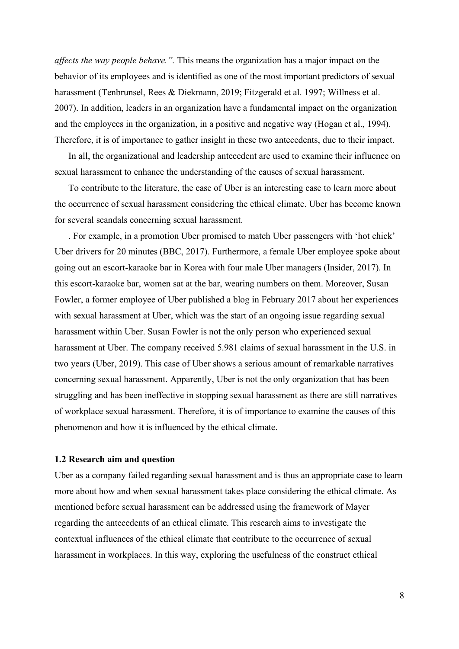*affects the way people behave.".* This means the organization has a major impact on the behavior of its employees and is identified as one of the most important predictors of sexual harassment (Tenbrunsel, Rees & Diekmann, 2019; Fitzgerald et al. 1997; Willness et al. 2007). In addition, leaders in an organization have a fundamental impact on the organization and the employees in the organization, in a positive and negative way (Hogan et al., 1994). Therefore, it is of importance to gather insight in these two antecedents, due to their impact.

In all, the organizational and leadership antecedent are used to examine their influence on sexual harassment to enhance the understanding of the causes of sexual harassment.

To contribute to the literature, the case of Uber is an interesting case to learn more about the occurrence of sexual harassment considering the ethical climate. Uber has become known for several scandals concerning sexual harassment.

. For example, in a promotion Uber promised to match Uber passengers with 'hot chick' Uber drivers for 20 minutes (BBC, 2017). Furthermore, a female Uber employee spoke about going out an escort-karaoke bar in Korea with four male Uber managers (Insider, 2017). In this escort-karaoke bar, women sat at the bar, wearing numbers on them. Moreover, Susan Fowler, a former employee of Uber published a blog in February 2017 about her experiences with sexual harassment at Uber, which was the start of an ongoing issue regarding sexual harassment within Uber. Susan Fowler is not the only person who experienced sexual harassment at Uber. The company received 5.981 claims of sexual harassment in the U.S. in two years (Uber, 2019). This case of Uber shows a serious amount of remarkable narratives concerning sexual harassment. Apparently, Uber is not the only organization that has been struggling and has been ineffective in stopping sexual harassment as there are still narratives of workplace sexual harassment. Therefore, it is of importance to examine the causes of this phenomenon and how it is influenced by the ethical climate.

#### <span id="page-7-0"></span>**1.2 Research aim and question**

Uber as a company failed regarding sexual harassment and is thus an appropriate case to learn more about how and when sexual harassment takes place considering the ethical climate. As mentioned before sexual harassment can be addressed using the framework of Mayer regarding the antecedents of an ethical climate. This research aims to investigate the contextual influences of the ethical climate that contribute to the occurrence of sexual harassment in workplaces. In this way, exploring the usefulness of the construct ethical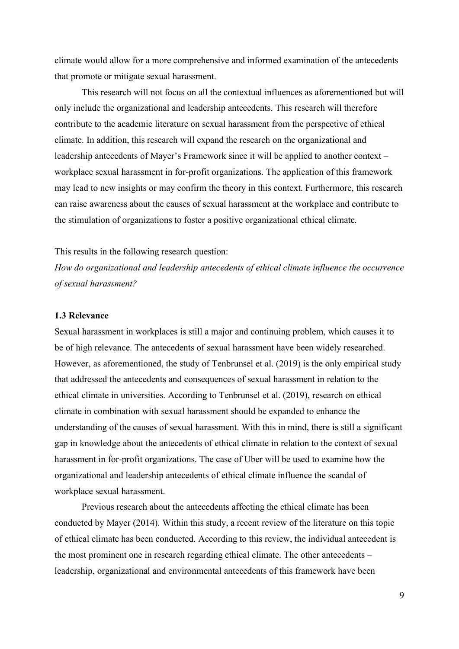climate would allow for a more comprehensive and informed examination of the antecedents that promote or mitigate sexual harassment.

This research will not focus on all the contextual influences as aforementioned but will only include the organizational and leadership antecedents. This research will therefore contribute to the academic literature on sexual harassment from the perspective of ethical climate. In addition, this research will expand the research on the organizational and leadership antecedents of Mayer's Framework since it will be applied to another context – workplace sexual harassment in for-profit organizations. The application of this framework may lead to new insights or may confirm the theory in this context. Furthermore, this research can raise awareness about the causes of sexual harassment at the workplace and contribute to the stimulation of organizations to foster a positive organizational ethical climate.

#### This results in the following research question:

*How do organizational and leadership antecedents of ethical climate influence the occurrence of sexual harassment?*

#### <span id="page-8-0"></span>**1.3 Relevance**

Sexual harassment in workplaces is still a major and continuing problem, which causes it to be of high relevance. The antecedents of sexual harassment have been widely researched. However, as aforementioned, the study of Tenbrunsel et al. (2019) is the only empirical study that addressed the antecedents and consequences of sexual harassment in relation to the ethical climate in universities. According to Tenbrunsel et al. (2019), research on ethical climate in combination with sexual harassment should be expanded to enhance the understanding of the causes of sexual harassment. With this in mind, there is still a significant gap in knowledge about the antecedents of ethical climate in relation to the context of sexual harassment in for-profit organizations. The case of Uber will be used to examine how the organizational and leadership antecedents of ethical climate influence the scandal of workplace sexual harassment.

Previous research about the antecedents affecting the ethical climate has been conducted by Mayer (2014). Within this study, a recent review of the literature on this topic of ethical climate has been conducted. According to this review, the individual antecedent is the most prominent one in research regarding ethical climate. The other antecedents – leadership, organizational and environmental antecedents of this framework have been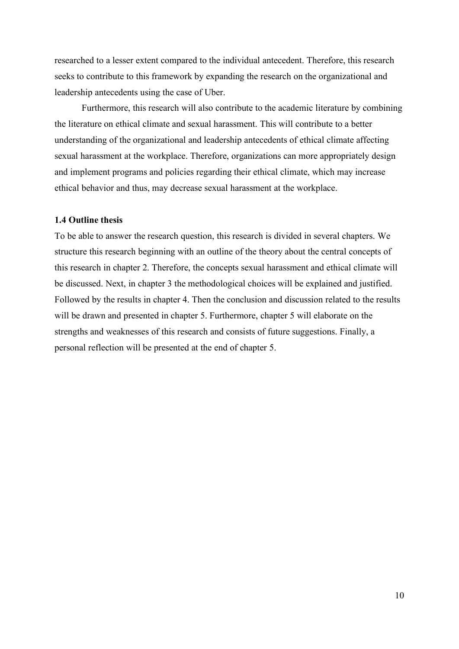researched to a lesser extent compared to the individual antecedent. Therefore, this research seeks to contribute to this framework by expanding the research on the organizational and leadership antecedents using the case of Uber.

Furthermore, this research will also contribute to the academic literature by combining the literature on ethical climate and sexual harassment. This will contribute to a better understanding of the organizational and leadership antecedents of ethical climate affecting sexual harassment at the workplace. Therefore, organizations can more appropriately design and implement programs and policies regarding their ethical climate, which may increase ethical behavior and thus, may decrease sexual harassment at the workplace.

#### <span id="page-9-0"></span>**1.4 Outline thesis**

To be able to answer the research question, this research is divided in several chapters. We structure this research beginning with an outline of the theory about the central concepts of this research in chapter 2. Therefore, the concepts sexual harassment and ethical climate will be discussed. Next, in chapter 3 the methodological choices will be explained and justified. Followed by the results in chapter 4. Then the conclusion and discussion related to the results will be drawn and presented in chapter 5. Furthermore, chapter 5 will elaborate on the strengths and weaknesses of this research and consists of future suggestions. Finally, a personal reflection will be presented at the end of chapter 5.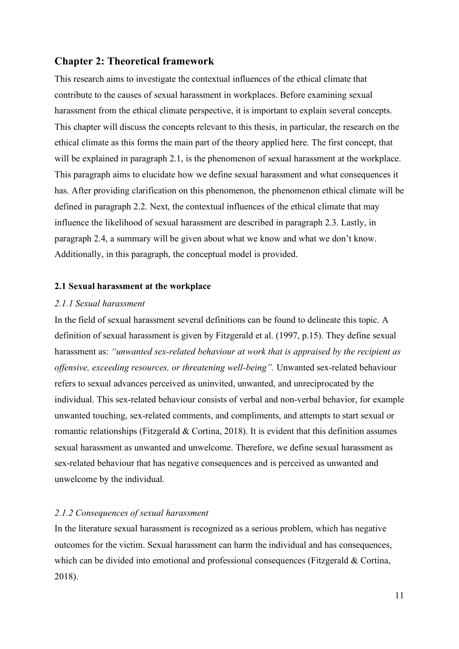#### <span id="page-10-0"></span>**Chapter 2: Theoretical framework**

This research aims to investigate the contextual influences of the ethical climate that contribute to the causes of sexual harassment in workplaces. Before examining sexual harassment from the ethical climate perspective, it is important to explain several concepts. This chapter will discuss the concepts relevant to this thesis, in particular, the research on the ethical climate as this forms the main part of the theory applied here. The first concept, that will be explained in paragraph 2.1, is the phenomenon of sexual harassment at the workplace. This paragraph aims to elucidate how we define sexual harassment and what consequences it has. After providing clarification on this phenomenon, the phenomenon ethical climate will be defined in paragraph 2.2. Next, the contextual influences of the ethical climate that may influence the likelihood of sexual harassment are described in paragraph 2.3. Lastly, in paragraph 2.4, a summary will be given about what we know and what we don't know. Additionally, in this paragraph, the conceptual model is provided.

#### <span id="page-10-1"></span>**2.1 Sexual harassment at the workplace**

#### <span id="page-10-2"></span>*2.1.1 Sexual harassment*

In the field of sexual harassment several definitions can be found to delineate this topic. A definition of sexual harassment is given by Fitzgerald et al. (1997, p.15). They define sexual harassment as: *"unwanted sex-related behaviour at work that is appraised by the recipient as offensive, exceeding resources, or threatening well-being".* Unwanted sex-related behaviour refers to sexual advances perceived as uninvited, unwanted, and unreciprocated by the individual. This sex-related behaviour consists of verbal and non-verbal behavior, for example unwanted touching, sex-related comments, and compliments, and attempts to start sexual or romantic relationships (Fitzgerald & Cortina, 2018). It is evident that this definition assumes sexual harassment as unwanted and unwelcome. Therefore, we define sexual harassment as sex-related behaviour that has negative consequences and is perceived as unwanted and unwelcome by the individual.

#### <span id="page-10-3"></span>*2.1.2 Consequences of sexual harassment*

In the literature sexual harassment is recognized as a serious problem, which has negative outcomes for the victim. Sexual harassment can harm the individual and has consequences, which can be divided into emotional and professional consequences (Fitzgerald & Cortina, 2018).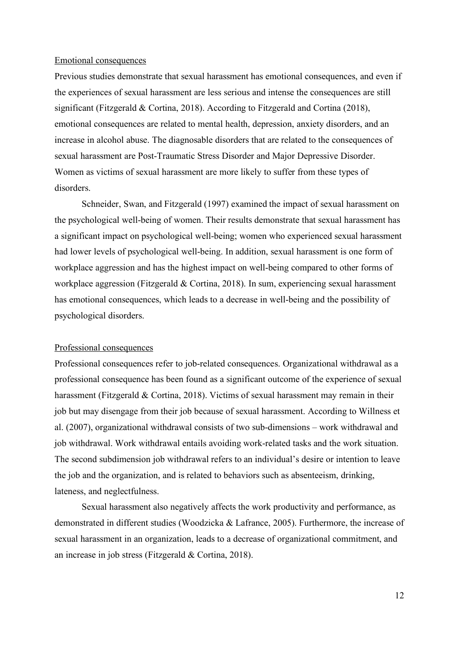#### Emotional consequences

Previous studies demonstrate that sexual harassment has emotional consequences, and even if the experiences of sexual harassment are less serious and intense the consequences are still significant (Fitzgerald & Cortina, 2018). According to Fitzgerald and Cortina (2018), emotional consequences are related to mental health, depression, anxiety disorders, and an increase in alcohol abuse. The diagnosable disorders that are related to the consequences of sexual harassment are Post-Traumatic Stress Disorder and Major Depressive Disorder. Women as victims of sexual harassment are more likely to suffer from these types of disorders.

Schneider, Swan, and Fitzgerald (1997) examined the impact of sexual harassment on the psychological well-being of women. Their results demonstrate that sexual harassment has a significant impact on psychological well-being; women who experienced sexual harassment had lower levels of psychological well-being. In addition, sexual harassment is one form of workplace aggression and has the highest impact on well-being compared to other forms of workplace aggression (Fitzgerald & Cortina, 2018). In sum, experiencing sexual harassment has emotional consequences, which leads to a decrease in well-being and the possibility of psychological disorders.

#### Professional consequences

Professional consequences refer to job-related consequences. Organizational withdrawal as a professional consequence has been found as a significant outcome of the experience of sexual harassment (Fitzgerald & Cortina, 2018). Victims of sexual harassment may remain in their job but may disengage from their job because of sexual harassment. According to Willness et al. (2007), organizational withdrawal consists of two sub-dimensions – work withdrawal and job withdrawal. Work withdrawal entails avoiding work-related tasks and the work situation. The second subdimension job withdrawal refers to an individual's desire or intention to leave the job and the organization, and is related to behaviors such as absenteeism, drinking, lateness, and neglectfulness.

Sexual harassment also negatively affects the work productivity and performance, as demonstrated in different studies (Woodzicka & Lafrance, 2005). Furthermore, the increase of sexual harassment in an organization, leads to a decrease of organizational commitment, and an increase in job stress (Fitzgerald & Cortina, 2018).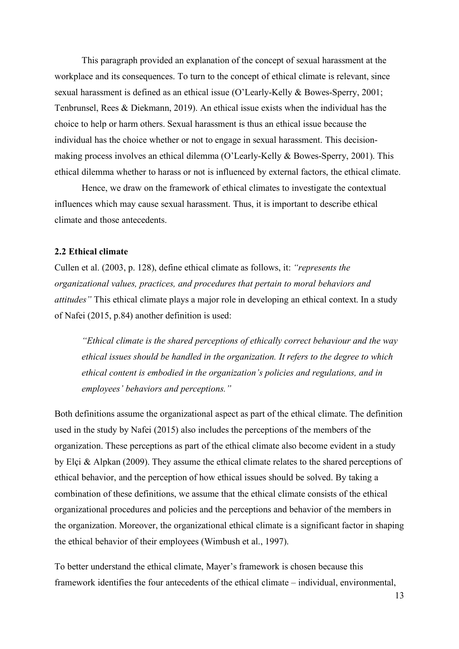This paragraph provided an explanation of the concept of sexual harassment at the workplace and its consequences. To turn to the concept of ethical climate is relevant, since sexual harassment is defined as an ethical issue (O'Learly-Kelly & Bowes-Sperry, 2001; Tenbrunsel, Rees & Diekmann, 2019). An ethical issue exists when the individual has the choice to help or harm others. Sexual harassment is thus an ethical issue because the individual has the choice whether or not to engage in sexual harassment. This decisionmaking process involves an ethical dilemma (O'Learly-Kelly & Bowes-Sperry, 2001). This ethical dilemma whether to harass or not is influenced by external factors, the ethical climate.

Hence, we draw on the framework of ethical climates to investigate the contextual influences which may cause sexual harassment. Thus, it is important to describe ethical climate and those antecedents.

#### <span id="page-12-0"></span>**2.2 Ethical climate**

Cullen et al. (2003, p. 128), define ethical climate as follows, it: *"represents the organizational values, practices, and procedures that pertain to moral behaviors and attitudes"* This ethical climate plays a major role in developing an ethical context. In a study of Nafei (2015, p.84) another definition is used:

*"Ethical climate is the shared perceptions of ethically correct behaviour and the way ethical issues should be handled in the organization. It refers to the degree to which ethical content is embodied in the organization's policies and regulations, and in employees' behaviors and perceptions."*

Both definitions assume the organizational aspect as part of the ethical climate. The definition used in the study by Nafei (2015) also includes the perceptions of the members of the organization. These perceptions as part of the ethical climate also become evident in a study by Elçi & Alpkan (2009). They assume the ethical climate relates to the shared perceptions of ethical behavior, and the perception of how ethical issues should be solved. By taking a combination of these definitions, we assume that the ethical climate consists of the ethical organizational procedures and policies and the perceptions and behavior of the members in the organization. Moreover, the organizational ethical climate is a significant factor in shaping the ethical behavior of their employees (Wimbush et al., 1997).

To better understand the ethical climate, Mayer's framework is chosen because this framework identifies the four antecedents of the ethical climate – individual, environmental,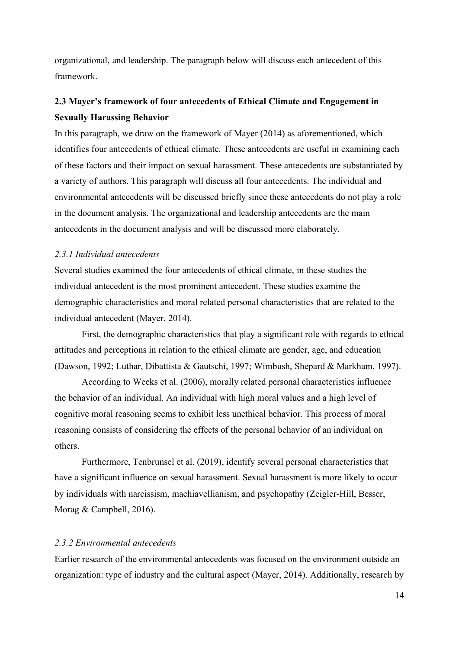organizational, and leadership. The paragraph below will discuss each antecedent of this framework.

## <span id="page-13-0"></span>**2.3 Mayer's framework of four antecedents of Ethical Climate and Engagement in Sexually Harassing Behavior**

In this paragraph, we draw on the framework of Mayer (2014) as aforementioned, which identifies four antecedents of ethical climate. These antecedents are useful in examining each of these factors and their impact on sexual harassment. These antecedents are substantiated by a variety of authors. This paragraph will discuss all four antecedents. The individual and environmental antecedents will be discussed briefly since these antecedents do not play a role in the document analysis. The organizational and leadership antecedents are the main antecedents in the document analysis and will be discussed more elaborately.

#### <span id="page-13-1"></span>*2.3.1 Individual antecedents*

Several studies examined the four antecedents of ethical climate, in these studies the individual antecedent is the most prominent antecedent. These studies examine the demographic characteristics and moral related personal characteristics that are related to the individual antecedent (Mayer, 2014).

First, the demographic characteristics that play a significant role with regards to ethical attitudes and perceptions in relation to the ethical climate are gender, age, and education (Dawson, 1992; Luthar, Dibattista & Gautschi, 1997; Wimbush, Shepard & Markham, 1997).

According to Weeks et al. (2006), morally related personal characteristics influence the behavior of an individual. An individual with high moral values and a high level of cognitive moral reasoning seems to exhibit less unethical behavior. This process of moral reasoning consists of considering the effects of the personal behavior of an individual on others.

Furthermore, Tenbrunsel et al. (2019), identify several personal characteristics that have a significant influence on sexual harassment. Sexual harassment is more likely to occur by individuals with narcissism, machiavellianism, and psychopathy (Zeigler-Hill, Besser, Morag & Campbell, 2016).

#### <span id="page-13-2"></span>*2.3.2 Environmental antecedents*

Earlier research of the environmental antecedents was focused on the environment outside an organization: type of industry and the cultural aspect (Mayer, 2014). Additionally, research by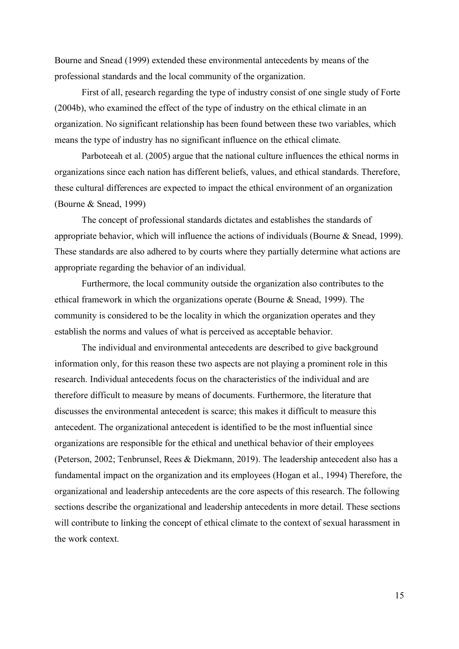Bourne and Snead (1999) extended these environmental antecedents by means of the professional standards and the local community of the organization.

First of all, research regarding the type of industry consist of one single study of Forte (2004b), who examined the effect of the type of industry on the ethical climate in an organization. No significant relationship has been found between these two variables, which means the type of industry has no significant influence on the ethical climate.

Parboteeah et al. (2005) argue that the national culture influences the ethical norms in organizations since each nation has different beliefs, values, and ethical standards. Therefore, these cultural differences are expected to impact the ethical environment of an organization (Bourne & Snead, 1999)

The concept of professional standards dictates and establishes the standards of appropriate behavior, which will influence the actions of individuals (Bourne & Snead, 1999). These standards are also adhered to by courts where they partially determine what actions are appropriate regarding the behavior of an individual.

Furthermore, the local community outside the organization also contributes to the ethical framework in which the organizations operate (Bourne & Snead, 1999). The community is considered to be the locality in which the organization operates and they establish the norms and values of what is perceived as acceptable behavior.

The individual and environmental antecedents are described to give background information only, for this reason these two aspects are not playing a prominent role in this research. Individual antecedents focus on the characteristics of the individual and are therefore difficult to measure by means of documents. Furthermore, the literature that discusses the environmental antecedent is scarce; this makes it difficult to measure this antecedent. The organizational antecedent is identified to be the most influential since organizations are responsible for the ethical and unethical behavior of their employees (Peterson, 2002; Tenbrunsel, Rees & Diekmann, 2019). The leadership antecedent also has a fundamental impact on the organization and its employees (Hogan et al., 1994) Therefore, the organizational and leadership antecedents are the core aspects of this research. The following sections describe the organizational and leadership antecedents in more detail. These sections will contribute to linking the concept of ethical climate to the context of sexual harassment in the work context.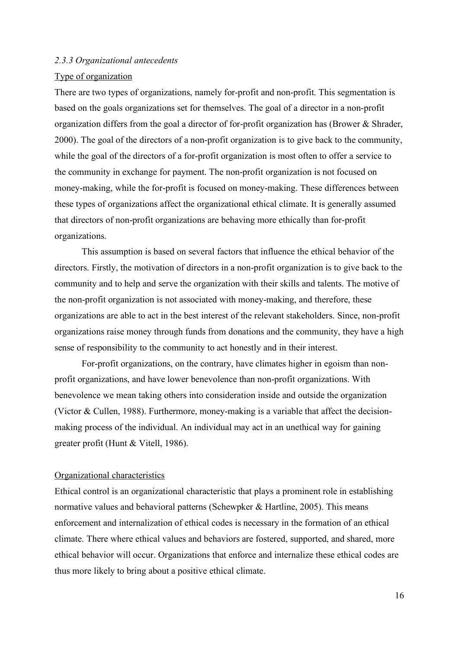#### <span id="page-15-0"></span>*2.3.3 Organizational antecedents*

#### Type of organization

There are two types of organizations, namely for-profit and non-profit. This segmentation is based on the goals organizations set for themselves. The goal of a director in a non-profit organization differs from the goal a director of for-profit organization has (Brower & Shrader, 2000). The goal of the directors of a non-profit organization is to give back to the community, while the goal of the directors of a for-profit organization is most often to offer a service to the community in exchange for payment. The non-profit organization is not focused on money-making, while the for-profit is focused on money-making. These differences between these types of organizations affect the organizational ethical climate. It is generally assumed that directors of non-profit organizations are behaving more ethically than for-profit organizations.

This assumption is based on several factors that influence the ethical behavior of the directors. Firstly, the motivation of directors in a non-profit organization is to give back to the community and to help and serve the organization with their skills and talents. The motive of the non-profit organization is not associated with money-making, and therefore, these organizations are able to act in the best interest of the relevant stakeholders. Since, non-profit organizations raise money through funds from donations and the community, they have a high sense of responsibility to the community to act honestly and in their interest.

For-profit organizations, on the contrary, have climates higher in egoism than nonprofit organizations, and have lower benevolence than non-profit organizations. With benevolence we mean taking others into consideration inside and outside the organization (Victor & Cullen, 1988). Furthermore, money-making is a variable that affect the decisionmaking process of the individual. An individual may act in an unethical way for gaining greater profit (Hunt & Vitell, 1986).

#### Organizational characteristics

Ethical control is an organizational characteristic that plays a prominent role in establishing normative values and behavioral patterns (Schewpker & Hartline, 2005). This means enforcement and internalization of ethical codes is necessary in the formation of an ethical climate. There where ethical values and behaviors are fostered, supported, and shared, more ethical behavior will occur. Organizations that enforce and internalize these ethical codes are thus more likely to bring about a positive ethical climate.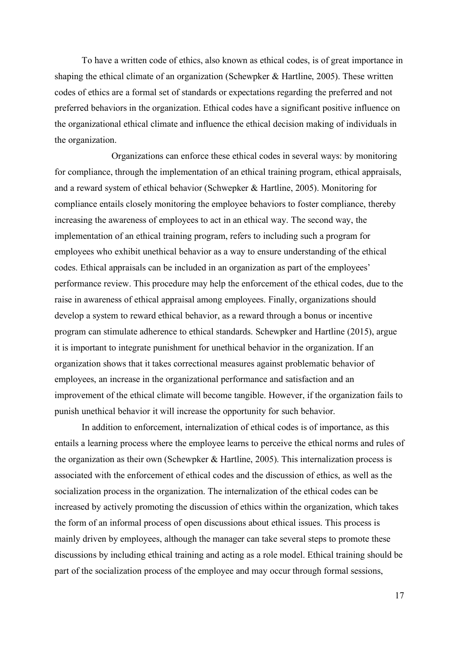To have a written code of ethics, also known as ethical codes, is of great importance in shaping the ethical climate of an organization (Schewpker & Hartline, 2005). These written codes of ethics are a formal set of standards or expectations regarding the preferred and not preferred behaviors in the organization. Ethical codes have a significant positive influence on the organizational ethical climate and influence the ethical decision making of individuals in the organization.

Organizations can enforce these ethical codes in several ways: by monitoring for compliance, through the implementation of an ethical training program, ethical appraisals, and a reward system of ethical behavior (Schwepker & Hartline, 2005). Monitoring for compliance entails closely monitoring the employee behaviors to foster compliance, thereby increasing the awareness of employees to act in an ethical way. The second way, the implementation of an ethical training program, refers to including such a program for employees who exhibit unethical behavior as a way to ensure understanding of the ethical codes. Ethical appraisals can be included in an organization as part of the employees' performance review. This procedure may help the enforcement of the ethical codes, due to the raise in awareness of ethical appraisal among employees. Finally, organizations should develop a system to reward ethical behavior, as a reward through a bonus or incentive program can stimulate adherence to ethical standards. Schewpker and Hartline (2015), argue it is important to integrate punishment for unethical behavior in the organization. If an organization shows that it takes correctional measures against problematic behavior of employees, an increase in the organizational performance and satisfaction and an improvement of the ethical climate will become tangible. However, if the organization fails to punish unethical behavior it will increase the opportunity for such behavior.

In addition to enforcement, internalization of ethical codes is of importance, as this entails a learning process where the employee learns to perceive the ethical norms and rules of the organization as their own (Schewpker & Hartline, 2005). This internalization process is associated with the enforcement of ethical codes and the discussion of ethics, as well as the socialization process in the organization. The internalization of the ethical codes can be increased by actively promoting the discussion of ethics within the organization, which takes the form of an informal process of open discussions about ethical issues. This process is mainly driven by employees, although the manager can take several steps to promote these discussions by including ethical training and acting as a role model. Ethical training should be part of the socialization process of the employee and may occur through formal sessions,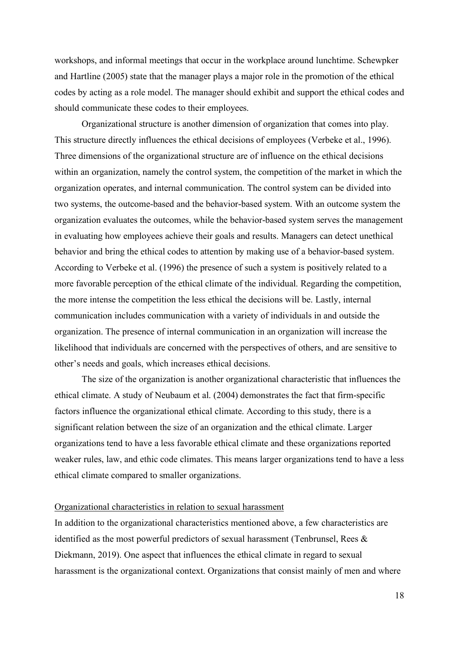workshops, and informal meetings that occur in the workplace around lunchtime. Schewpker and Hartline (2005) state that the manager plays a major role in the promotion of the ethical codes by acting as a role model. The manager should exhibit and support the ethical codes and should communicate these codes to their employees.

Organizational structure is another dimension of organization that comes into play. This structure directly influences the ethical decisions of employees (Verbeke et al., 1996). Three dimensions of the organizational structure are of influence on the ethical decisions within an organization, namely the control system, the competition of the market in which the organization operates, and internal communication. The control system can be divided into two systems, the outcome-based and the behavior-based system. With an outcome system the organization evaluates the outcomes, while the behavior-based system serves the management in evaluating how employees achieve their goals and results. Managers can detect unethical behavior and bring the ethical codes to attention by making use of a behavior-based system. According to Verbeke et al. (1996) the presence of such a system is positively related to a more favorable perception of the ethical climate of the individual. Regarding the competition, the more intense the competition the less ethical the decisions will be. Lastly, internal communication includes communication with a variety of individuals in and outside the organization. The presence of internal communication in an organization will increase the likelihood that individuals are concerned with the perspectives of others, and are sensitive to other's needs and goals, which increases ethical decisions.

The size of the organization is another organizational characteristic that influences the ethical climate. A study of Neubaum et al. (2004) demonstrates the fact that firm-specific factors influence the organizational ethical climate. According to this study, there is a significant relation between the size of an organization and the ethical climate. Larger organizations tend to have a less favorable ethical climate and these organizations reported weaker rules, law, and ethic code climates. This means larger organizations tend to have a less ethical climate compared to smaller organizations.

#### Organizational characteristics in relation to sexual harassment

In addition to the organizational characteristics mentioned above, a few characteristics are identified as the most powerful predictors of sexual harassment (Tenbrunsel, Rees & Diekmann, 2019). One aspect that influences the ethical climate in regard to sexual harassment is the organizational context. Organizations that consist mainly of men and where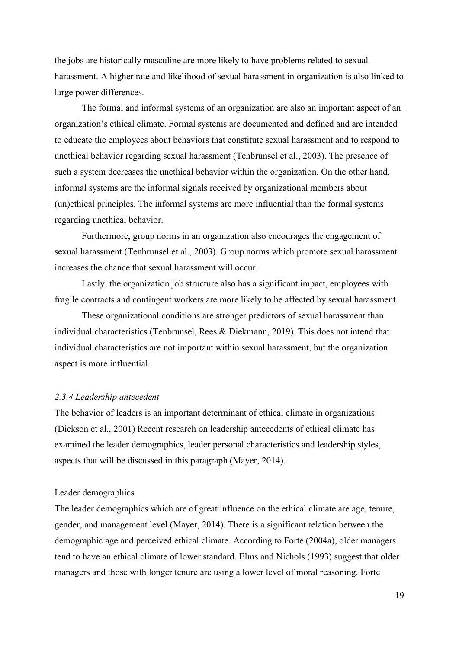the jobs are historically masculine are more likely to have problems related to sexual harassment. A higher rate and likelihood of sexual harassment in organization is also linked to large power differences.

The formal and informal systems of an organization are also an important aspect of an organization's ethical climate. Formal systems are documented and defined and are intended to educate the employees about behaviors that constitute sexual harassment and to respond to unethical behavior regarding sexual harassment (Tenbrunsel et al., 2003). The presence of such a system decreases the unethical behavior within the organization. On the other hand, informal systems are the informal signals received by organizational members about (un)ethical principles. The informal systems are more influential than the formal systems regarding unethical behavior.

Furthermore, group norms in an organization also encourages the engagement of sexual harassment (Tenbrunsel et al., 2003). Group norms which promote sexual harassment increases the chance that sexual harassment will occur.

Lastly, the organization job structure also has a significant impact, employees with fragile contracts and contingent workers are more likely to be affected by sexual harassment.

These organizational conditions are stronger predictors of sexual harassment than individual characteristics (Tenbrunsel, Rees & Diekmann, 2019). This does not intend that individual characteristics are not important within sexual harassment, but the organization aspect is more influential.

#### <span id="page-18-0"></span>*2.3.4 Leadership antecedent*

The behavior of leaders is an important determinant of ethical climate in organizations (Dickson et al., 2001) Recent research on leadership antecedents of ethical climate has examined the leader demographics, leader personal characteristics and leadership styles, aspects that will be discussed in this paragraph (Mayer, 2014).

#### Leader demographics

The leader demographics which are of great influence on the ethical climate are age, tenure, gender, and management level (Mayer, 2014). There is a significant relation between the demographic age and perceived ethical climate. According to Forte (2004a), older managers tend to have an ethical climate of lower standard. Elms and Nichols (1993) suggest that older managers and those with longer tenure are using a lower level of moral reasoning. Forte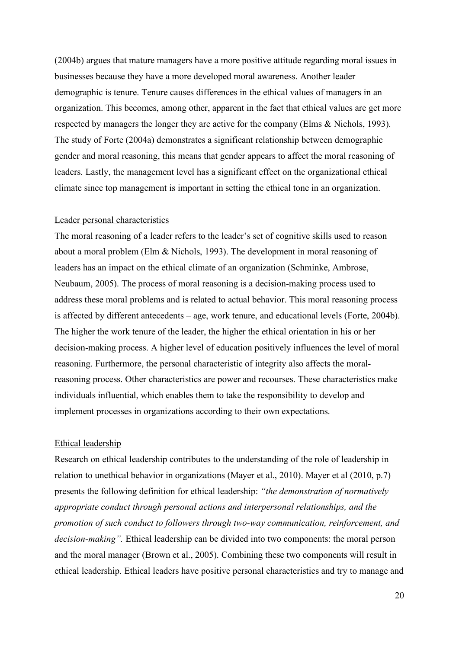(2004b) argues that mature managers have a more positive attitude regarding moral issues in businesses because they have a more developed moral awareness. Another leader demographic is tenure. Tenure causes differences in the ethical values of managers in an organization. This becomes, among other, apparent in the fact that ethical values are get more respected by managers the longer they are active for the company (Elms & Nichols, 1993). The study of Forte (2004a) demonstrates a significant relationship between demographic gender and moral reasoning, this means that gender appears to affect the moral reasoning of leaders. Lastly, the management level has a significant effect on the organizational ethical climate since top management is important in setting the ethical tone in an organization.

#### Leader personal characteristics

The moral reasoning of a leader refers to the leader's set of cognitive skills used to reason about a moral problem (Elm & Nichols, 1993). The development in moral reasoning of leaders has an impact on the ethical climate of an organization (Schminke, Ambrose, Neubaum, 2005). The process of moral reasoning is a decision-making process used to address these moral problems and is related to actual behavior. This moral reasoning process is affected by different antecedents – age, work tenure, and educational levels (Forte, 2004b). The higher the work tenure of the leader, the higher the ethical orientation in his or her decision-making process. A higher level of education positively influences the level of moral reasoning. Furthermore, the personal characteristic of integrity also affects the moralreasoning process. Other characteristics are power and recourses. These characteristics make individuals influential, which enables them to take the responsibility to develop and implement processes in organizations according to their own expectations.

#### Ethical leadership

Research on ethical leadership contributes to the understanding of the role of leadership in relation to unethical behavior in organizations (Mayer et al., 2010). Mayer et al (2010, p.7) presents the following definition for ethical leadership: *"the demonstration of normatively appropriate conduct through personal actions and interpersonal relationships, and the promotion of such conduct to followers through two-way communication, reinforcement, and decision-making".* Ethical leadership can be divided into two components: the moral person and the moral manager (Brown et al., 2005). Combining these two components will result in ethical leadership. Ethical leaders have positive personal characteristics and try to manage and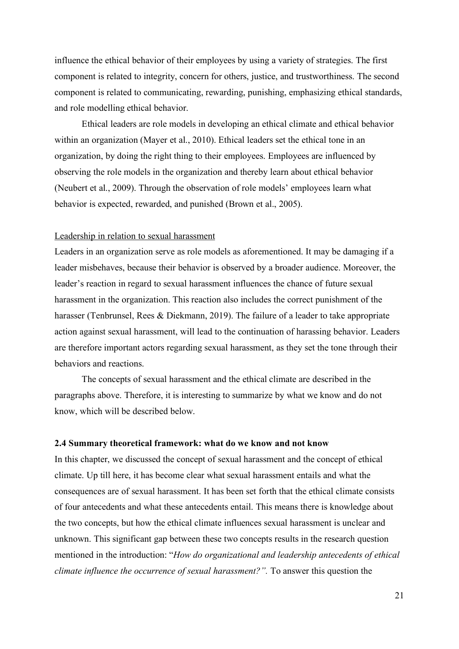influence the ethical behavior of their employees by using a variety of strategies. The first component is related to integrity, concern for others, justice, and trustworthiness. The second component is related to communicating, rewarding, punishing, emphasizing ethical standards, and role modelling ethical behavior.

Ethical leaders are role models in developing an ethical climate and ethical behavior within an organization (Mayer et al., 2010). Ethical leaders set the ethical tone in an organization, by doing the right thing to their employees. Employees are influenced by observing the role models in the organization and thereby learn about ethical behavior (Neubert et al., 2009). Through the observation of role models' employees learn what behavior is expected, rewarded, and punished (Brown et al., 2005).

#### Leadership in relation to sexual harassment

Leaders in an organization serve as role models as aforementioned. It may be damaging if a leader misbehaves, because their behavior is observed by a broader audience. Moreover, the leader's reaction in regard to sexual harassment influences the chance of future sexual harassment in the organization. This reaction also includes the correct punishment of the harasser (Tenbrunsel, Rees & Diekmann, 2019). The failure of a leader to take appropriate action against sexual harassment, will lead to the continuation of harassing behavior. Leaders are therefore important actors regarding sexual harassment, as they set the tone through their behaviors and reactions.

The concepts of sexual harassment and the ethical climate are described in the paragraphs above. Therefore, it is interesting to summarize by what we know and do not know, which will be described below.

#### <span id="page-20-0"></span>**2.4 Summary theoretical framework: what do we know and not know**

In this chapter, we discussed the concept of sexual harassment and the concept of ethical climate. Up till here, it has become clear what sexual harassment entails and what the consequences are of sexual harassment. It has been set forth that the ethical climate consists of four antecedents and what these antecedents entail. This means there is knowledge about the two concepts, but how the ethical climate influences sexual harassment is unclear and unknown. This significant gap between these two concepts results in the research question mentioned in the introduction: "*How do organizational and leadership antecedents of ethical climate influence the occurrence of sexual harassment?".* To answer this question the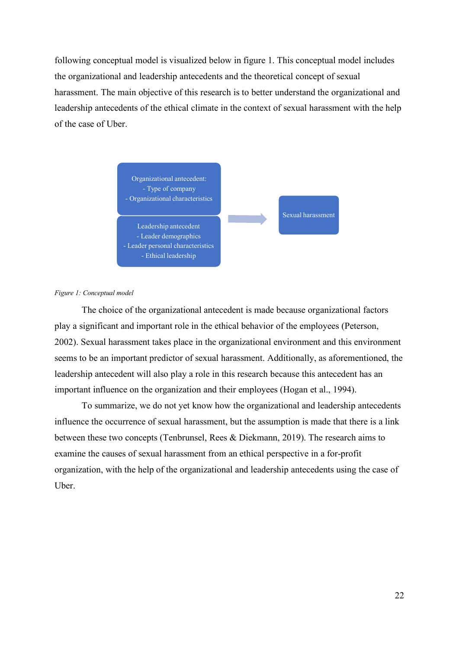following conceptual model is visualized below in figure 1. This conceptual model includes the organizational and leadership antecedents and the theoretical concept of sexual harassment. The main objective of this research is to better understand the organizational and leadership antecedents of the ethical climate in the context of sexual harassment with the help of the case of Uber.



#### *Figure 1: Conceptual model*

The choice of the organizational antecedent is made because organizational factors play a significant and important role in the ethical behavior of the employees (Peterson, 2002). Sexual harassment takes place in the organizational environment and this environment seems to be an important predictor of sexual harassment. Additionally, as aforementioned, the leadership antecedent will also play a role in this research because this antecedent has an important influence on the organization and their employees (Hogan et al., 1994).

To summarize, we do not yet know how the organizational and leadership antecedents influence the occurrence of sexual harassment, but the assumption is made that there is a link between these two concepts (Tenbrunsel, Rees & Diekmann, 2019). The research aims to examine the causes of sexual harassment from an ethical perspective in a for-profit organization, with the help of the organizational and leadership antecedents using the case of Uber.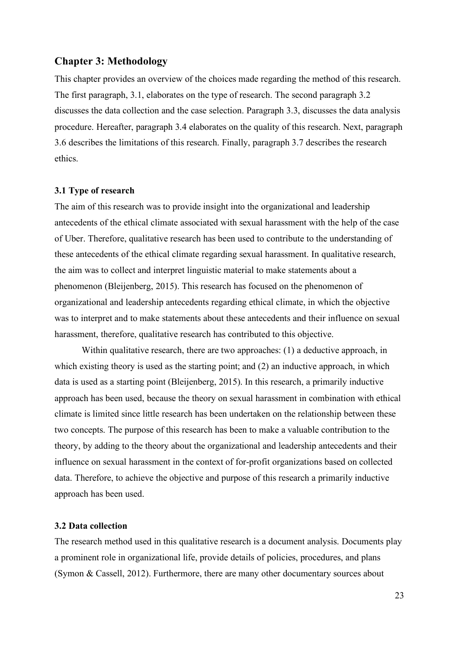#### <span id="page-22-0"></span>**Chapter 3: Methodology**

This chapter provides an overview of the choices made regarding the method of this research. The first paragraph, 3.1, elaborates on the type of research. The second paragraph 3.2 discusses the data collection and the case selection. Paragraph 3.3, discusses the data analysis procedure. Hereafter, paragraph 3.4 elaborates on the quality of this research. Next, paragraph 3.6 describes the limitations of this research. Finally, paragraph 3.7 describes the research ethics.

#### <span id="page-22-1"></span>**3.1 Type of research**

The aim of this research was to provide insight into the organizational and leadership antecedents of the ethical climate associated with sexual harassment with the help of the case of Uber. Therefore, qualitative research has been used to contribute to the understanding of these antecedents of the ethical climate regarding sexual harassment. In qualitative research, the aim was to collect and interpret linguistic material to make statements about a phenomenon (Bleijenberg, 2015). This research has focused on the phenomenon of organizational and leadership antecedents regarding ethical climate, in which the objective was to interpret and to make statements about these antecedents and their influence on sexual harassment, therefore, qualitative research has contributed to this objective.

Within qualitative research, there are two approaches: (1) a deductive approach, in which existing theory is used as the starting point; and (2) an inductive approach, in which data is used as a starting point (Bleijenberg, 2015). In this research, a primarily inductive approach has been used, because the theory on sexual harassment in combination with ethical climate is limited since little research has been undertaken on the relationship between these two concepts. The purpose of this research has been to make a valuable contribution to the theory, by adding to the theory about the organizational and leadership antecedents and their influence on sexual harassment in the context of for-profit organizations based on collected data. Therefore, to achieve the objective and purpose of this research a primarily inductive approach has been used.

#### <span id="page-22-2"></span>**3.2 Data collection**

The research method used in this qualitative research is a document analysis. Documents play a prominent role in organizational life, provide details of policies, procedures, and plans (Symon & Cassell, 2012). Furthermore, there are many other documentary sources about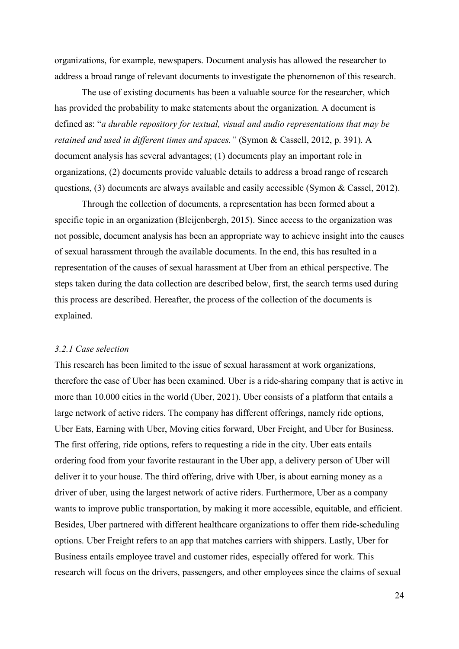organizations, for example, newspapers. Document analysis has allowed the researcher to address a broad range of relevant documents to investigate the phenomenon of this research.

The use of existing documents has been a valuable source for the researcher, which has provided the probability to make statements about the organization. A document is defined as: "*a durable repository for textual, visual and audio representations that may be retained and used in different times and spaces."* (Symon & Cassell, 2012, p. 391). A document analysis has several advantages; (1) documents play an important role in organizations, (2) documents provide valuable details to address a broad range of research questions, (3) documents are always available and easily accessible (Symon & Cassel, 2012).

Through the collection of documents, a representation has been formed about a specific topic in an organization (Bleijenbergh, 2015). Since access to the organization was not possible, document analysis has been an appropriate way to achieve insight into the causes of sexual harassment through the available documents. In the end, this has resulted in a representation of the causes of sexual harassment at Uber from an ethical perspective. The steps taken during the data collection are described below, first, the search terms used during this process are described. Hereafter, the process of the collection of the documents is explained.

#### <span id="page-23-0"></span>*3.2.1 Case selection*

This research has been limited to the issue of sexual harassment at work organizations, therefore the case of Uber has been examined. Uber is a ride-sharing company that is active in more than 10.000 cities in the world (Uber, 2021). Uber consists of a platform that entails a large network of active riders. The company has different offerings, namely ride options, Uber Eats, Earning with Uber, Moving cities forward, Uber Freight, and Uber for Business. The first offering, ride options, refers to requesting a ride in the city. Uber eats entails ordering food from your favorite restaurant in the Uber app, a delivery person of Uber will deliver it to your house. The third offering, drive with Uber, is about earning money as a driver of uber, using the largest network of active riders. Furthermore, Uber as a company wants to improve public transportation, by making it more accessible, equitable, and efficient. Besides, Uber partnered with different healthcare organizations to offer them ride-scheduling options. Uber Freight refers to an app that matches carriers with shippers. Lastly, Uber for Business entails employee travel and customer rides, especially offered for work. This research will focus on the drivers, passengers, and other employees since the claims of sexual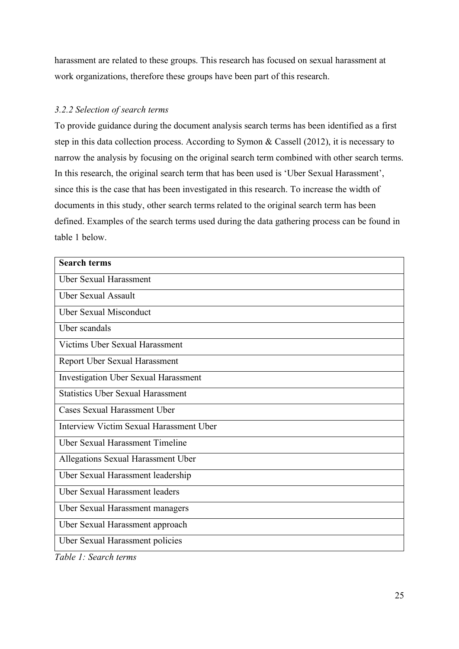harassment are related to these groups. This research has focused on sexual harassment at work organizations, therefore these groups have been part of this research.

#### <span id="page-24-0"></span>*3.2.2 Selection of search terms*

To provide guidance during the document analysis search terms has been identified as a first step in this data collection process. According to Symon & Cassell (2012), it is necessary to narrow the analysis by focusing on the original search term combined with other search terms. In this research, the original search term that has been used is 'Uber Sexual Harassment', since this is the case that has been investigated in this research. To increase the width of documents in this study, other search terms related to the original search term has been defined. Examples of the search terms used during the data gathering process can be found in table 1 below.

| <b>Search terms</b>                      |
|------------------------------------------|
| <b>Uber Sexual Harassment</b>            |
| <b>Uber Sexual Assault</b>               |
| <b>Uber Sexual Misconduct</b>            |
| Uber scandals                            |
| Victims Uber Sexual Harassment           |
| Report Uber Sexual Harassment            |
| Investigation Uber Sexual Harassment     |
| <b>Statistics Uber Sexual Harassment</b> |
| <b>Cases Sexual Harassment Uber</b>      |
| Interview Victim Sexual Harassment Uber  |
| <b>Uber Sexual Harassment Timeline</b>   |
| Allegations Sexual Harassment Uber       |
| Uber Sexual Harassment leadership        |
| <b>Uber Sexual Harassment leaders</b>    |
| Uber Sexual Harassment managers          |
| Uber Sexual Harassment approach          |
| Uber Sexual Harassment policies          |

*Table 1: Search terms*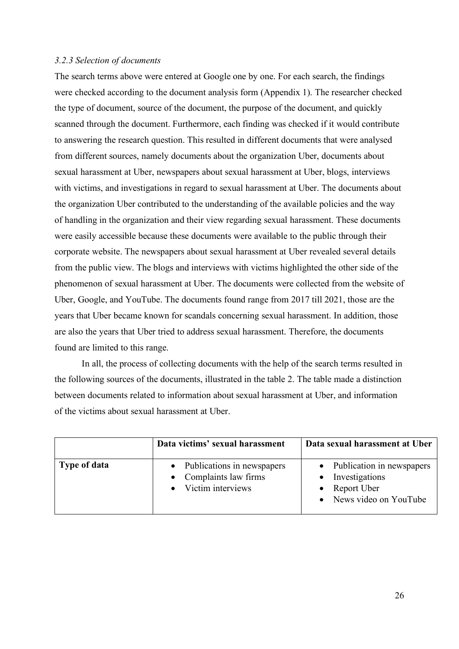#### <span id="page-25-0"></span>*3.2.3 Selection of documents*

The search terms above were entered at Google one by one. For each search, the findings were checked according to the document analysis form (Appendix 1). The researcher checked the type of document, source of the document, the purpose of the document, and quickly scanned through the document. Furthermore, each finding was checked if it would contribute to answering the research question. This resulted in different documents that were analysed from different sources, namely documents about the organization Uber, documents about sexual harassment at Uber, newspapers about sexual harassment at Uber, blogs, interviews with victims, and investigations in regard to sexual harassment at Uber. The documents about the organization Uber contributed to the understanding of the available policies and the way of handling in the organization and their view regarding sexual harassment. These documents were easily accessible because these documents were available to the public through their corporate website. The newspapers about sexual harassment at Uber revealed several details from the public view. The blogs and interviews with victims highlighted the other side of the phenomenon of sexual harassment at Uber. The documents were collected from the website of Uber, Google, and YouTube. The documents found range from 2017 till 2021, those are the years that Uber became known for scandals concerning sexual harassment. In addition, those are also the years that Uber tried to address sexual harassment. Therefore, the documents found are limited to this range.

In all, the process of collecting documents with the help of the search terms resulted in the following sources of the documents, illustrated in the table 2. The table made a distinction between documents related to information about sexual harassment at Uber, and information of the victims about sexual harassment at Uber.

|              | Data victims' sexual harassment                                               | Data sexual harassment at Uber                                                                     |
|--------------|-------------------------------------------------------------------------------|----------------------------------------------------------------------------------------------------|
| Type of data | • Publications in newspapers<br>• Complaints law firms<br>• Victim interviews | • Publication in newspapers<br>Investigations<br>Report Uber<br>$\bullet$<br>News video on YouTube |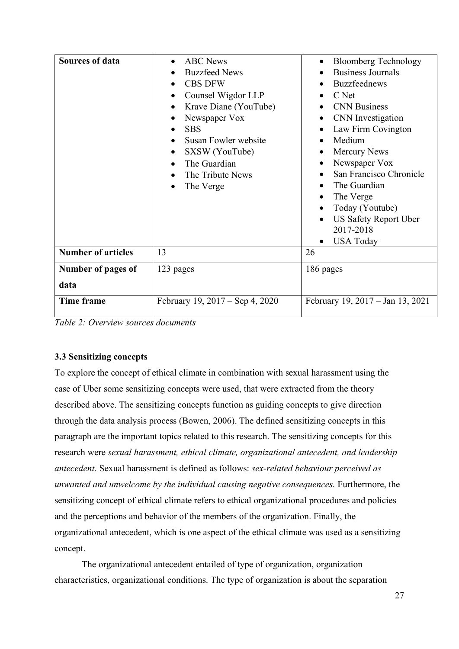| <b>Sources of data</b>     | <b>ABC</b> News<br><b>Buzzfeed News</b><br><b>CBS DFW</b><br>$\bullet$<br>Counsel Wigdor LLP<br>Krave Diane (YouTube)<br>Newspaper Vox<br><b>SBS</b><br>Susan Fowler website<br>SXSW (YouTube)<br>The Guardian<br>The Tribute News<br>The Verge | <b>Bloomberg Technology</b><br><b>Business Journals</b><br><b>Buzzfeednews</b><br>C Net<br><b>CNN</b> Business<br>CNN Investigation<br>Law Firm Covington<br>Medium<br><b>Mercury News</b><br>Newspaper Vox<br>San Francisco Chronicle<br>The Guardian<br>The Verge<br>$\bullet$<br>Today (Youtube)<br><b>US Safety Report Uber</b><br>2017-2018<br><b>USA Today</b> |
|----------------------------|-------------------------------------------------------------------------------------------------------------------------------------------------------------------------------------------------------------------------------------------------|----------------------------------------------------------------------------------------------------------------------------------------------------------------------------------------------------------------------------------------------------------------------------------------------------------------------------------------------------------------------|
| <b>Number of articles</b>  | 13                                                                                                                                                                                                                                              | 26                                                                                                                                                                                                                                                                                                                                                                   |
| Number of pages of<br>data | 123 pages                                                                                                                                                                                                                                       | 186 pages                                                                                                                                                                                                                                                                                                                                                            |
| Time frame                 | February 19, 2017 – Sep 4, 2020                                                                                                                                                                                                                 | February 19, 2017 – Jan 13, 2021                                                                                                                                                                                                                                                                                                                                     |

*Table 2: Overview sources documents* 

## <span id="page-26-0"></span>**3.3 Sensitizing concepts**

To explore the concept of ethical climate in combination with sexual harassment using the case of Uber some sensitizing concepts were used, that were extracted from the theory described above. The sensitizing concepts function as guiding concepts to give direction through the data analysis process (Bowen, 2006). The defined sensitizing concepts in this paragraph are the important topics related to this research. The sensitizing concepts for this research were *sexual harassment, ethical climate, organizational antecedent, and leadership antecedent*. Sexual harassment is defined as follows: *sex-related behaviour perceived as unwanted and unwelcome by the individual causing negative consequences.* Furthermore, the sensitizing concept of ethical climate refers to ethical organizational procedures and policies and the perceptions and behavior of the members of the organization. Finally, the organizational antecedent, which is one aspect of the ethical climate was used as a sensitizing concept.

The organizational antecedent entailed of type of organization, organization characteristics, organizational conditions. The type of organization is about the separation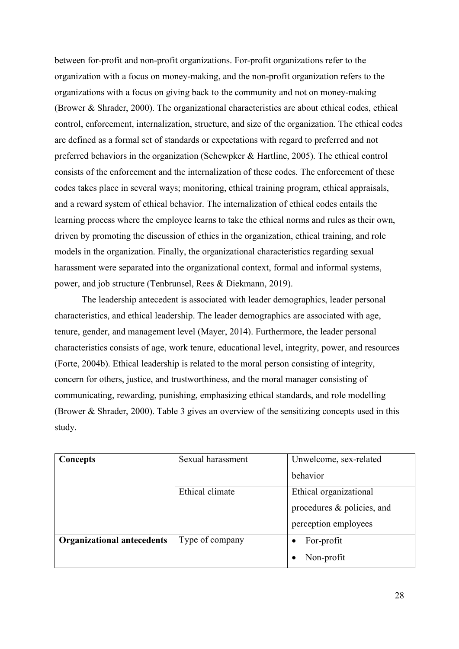between for-profit and non-profit organizations. For-profit organizations refer to the organization with a focus on money-making, and the non-profit organization refers to the organizations with a focus on giving back to the community and not on money-making (Brower & Shrader, 2000). The organizational characteristics are about ethical codes, ethical control, enforcement, internalization, structure, and size of the organization. The ethical codes are defined as a formal set of standards or expectations with regard to preferred and not preferred behaviors in the organization (Schewpker & Hartline, 2005). The ethical control consists of the enforcement and the internalization of these codes. The enforcement of these codes takes place in several ways; monitoring, ethical training program, ethical appraisals, and a reward system of ethical behavior. The internalization of ethical codes entails the learning process where the employee learns to take the ethical norms and rules as their own, driven by promoting the discussion of ethics in the organization, ethical training, and role models in the organization. Finally, the organizational characteristics regarding sexual harassment were separated into the organizational context, formal and informal systems, power, and job structure (Tenbrunsel, Rees & Diekmann, 2019).

The leadership antecedent is associated with leader demographics, leader personal characteristics, and ethical leadership. The leader demographics are associated with age, tenure, gender, and management level (Mayer, 2014). Furthermore, the leader personal characteristics consists of age, work tenure, educational level, integrity, power, and resources (Forte, 2004b). Ethical leadership is related to the moral person consisting of integrity, concern for others, justice, and trustworthiness, and the moral manager consisting of communicating, rewarding, punishing, emphasizing ethical standards, and role modelling (Brower & Shrader, 2000). Table 3 gives an overview of the sensitizing concepts used in this study.

| Concepts                          | Sexual harassment | Unwelcome, sex-related     |
|-----------------------------------|-------------------|----------------------------|
|                                   |                   | behavior                   |
|                                   | Ethical climate   | Ethical organizational     |
|                                   |                   | procedures & policies, and |
|                                   |                   | perception employees       |
| <b>Organizational antecedents</b> | Type of company   | For-profit                 |
|                                   |                   | Non-profit                 |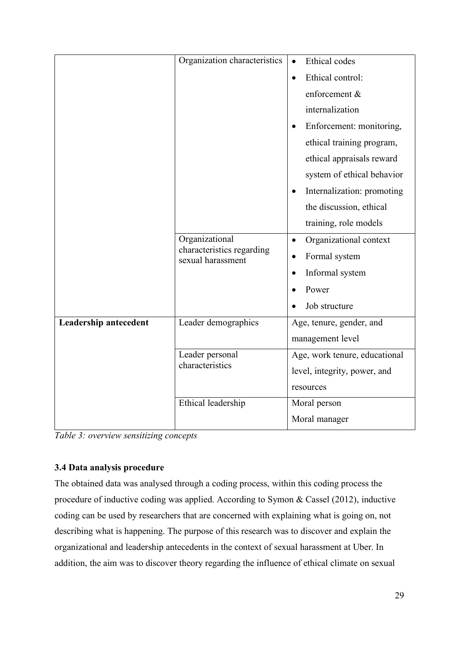|                       | Organization characteristics                   | Ethical codes                           |
|-----------------------|------------------------------------------------|-----------------------------------------|
|                       |                                                | Ethical control:<br>$\bullet$           |
|                       |                                                | enforcement &                           |
|                       |                                                | internalization                         |
|                       |                                                | Enforcement: monitoring,<br>$\bullet$   |
|                       |                                                | ethical training program,               |
|                       |                                                | ethical appraisals reward               |
|                       |                                                | system of ethical behavior              |
|                       |                                                | Internalization: promoting<br>$\bullet$ |
|                       |                                                | the discussion, ethical                 |
|                       |                                                | training, role models                   |
|                       | Organizational                                 | Organizational context<br>$\bullet$     |
|                       | characteristics regarding<br>sexual harassment | Formal system                           |
|                       |                                                | Informal system                         |
|                       |                                                | Power                                   |
|                       |                                                | Job structure                           |
| Leadership antecedent | Leader demographics                            | Age, tenure, gender, and                |
|                       |                                                | management level                        |
|                       | Leader personal                                | Age, work tenure, educational           |
|                       | characteristics                                | level, integrity, power, and            |
|                       |                                                | resources                               |
|                       | Ethical leadership                             | Moral person                            |
|                       |                                                | Moral manager                           |

*Table 3: overview sensitizing concepts*

## <span id="page-28-0"></span>**3.4 Data analysis procedure**

The obtained data was analysed through a coding process, within this coding process the procedure of inductive coding was applied. According to Symon & Cassel (2012), inductive coding can be used by researchers that are concerned with explaining what is going on, not describing what is happening. The purpose of this research was to discover and explain the organizational and leadership antecedents in the context of sexual harassment at Uber. In addition, the aim was to discover theory regarding the influence of ethical climate on sexual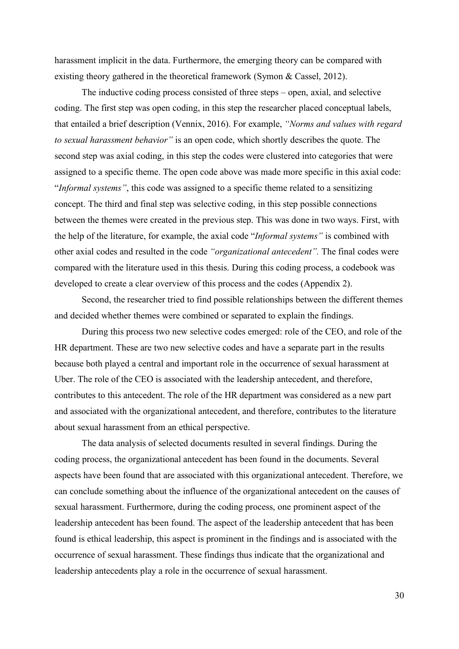harassment implicit in the data. Furthermore, the emerging theory can be compared with existing theory gathered in the theoretical framework (Symon & Cassel, 2012).

The inductive coding process consisted of three steps – open, axial, and selective coding. The first step was open coding, in this step the researcher placed conceptual labels, that entailed a brief description (Vennix, 2016). For example, *"Norms and values with regard to sexual harassment behavior"* is an open code, which shortly describes the quote. The second step was axial coding, in this step the codes were clustered into categories that were assigned to a specific theme. The open code above was made more specific in this axial code: "*Informal systems"*, this code was assigned to a specific theme related to a sensitizing concept. The third and final step was selective coding, in this step possible connections between the themes were created in the previous step. This was done in two ways. First, with the help of the literature, for example, the axial code "*Informal systems"* is combined with other axial codes and resulted in the code *"organizational antecedent".* The final codes were compared with the literature used in this thesis. During this coding process, a codebook was developed to create a clear overview of this process and the codes (Appendix 2).

Second, the researcher tried to find possible relationships between the different themes and decided whether themes were combined or separated to explain the findings.

During this process two new selective codes emerged: role of the CEO, and role of the HR department. These are two new selective codes and have a separate part in the results because both played a central and important role in the occurrence of sexual harassment at Uber. The role of the CEO is associated with the leadership antecedent, and therefore, contributes to this antecedent. The role of the HR department was considered as a new part and associated with the organizational antecedent, and therefore, contributes to the literature about sexual harassment from an ethical perspective.

The data analysis of selected documents resulted in several findings. During the coding process, the organizational antecedent has been found in the documents. Several aspects have been found that are associated with this organizational antecedent. Therefore, we can conclude something about the influence of the organizational antecedent on the causes of sexual harassment. Furthermore, during the coding process, one prominent aspect of the leadership antecedent has been found. The aspect of the leadership antecedent that has been found is ethical leadership, this aspect is prominent in the findings and is associated with the occurrence of sexual harassment. These findings thus indicate that the organizational and leadership antecedents play a role in the occurrence of sexual harassment.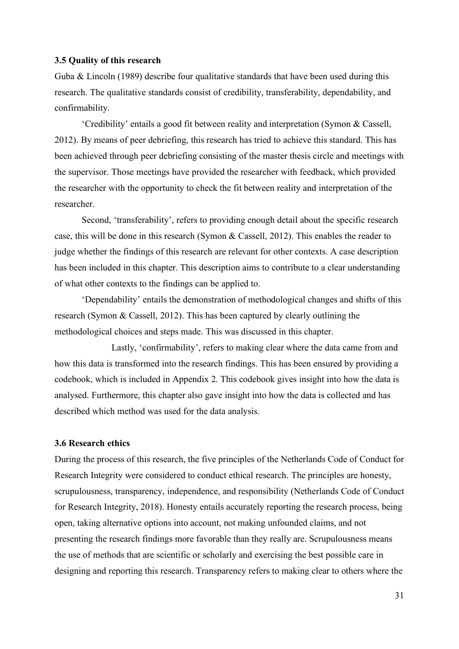#### <span id="page-30-0"></span>**3.5 Quality of this research**

Guba & Lincoln (1989) describe four qualitative standards that have been used during this research. The qualitative standards consist of credibility, transferability, dependability, and confirmability.

'Credibility' entails a good fit between reality and interpretation (Symon & Cassell, 2012). By means of peer debriefing, this research has tried to achieve this standard. This has been achieved through peer debriefing consisting of the master thesis circle and meetings with the supervisor. Those meetings have provided the researcher with feedback, which provided the researcher with the opportunity to check the fit between reality and interpretation of the researcher.

Second, 'transferability', refers to providing enough detail about the specific research case, this will be done in this research (Symon & Cassell, 2012). This enables the reader to judge whether the findings of this research are relevant for other contexts. A case description has been included in this chapter. This description aims to contribute to a clear understanding of what other contexts to the findings can be applied to.

'Dependability' entails the demonstration of methodological changes and shifts of this research (Symon & Cassell, 2012). This has been captured by clearly outlining the methodological choices and steps made. This was discussed in this chapter.

Lastly, 'confirmability', refers to making clear where the data came from and how this data is transformed into the research findings. This has been ensured by providing a codebook, which is included in Appendix 2. This codebook gives insight into how the data is analysed. Furthermore, this chapter also gave insight into how the data is collected and has described which method was used for the data analysis.

#### <span id="page-30-1"></span>**3.6 Research ethics**

During the process of this research, the five principles of the Netherlands Code of Conduct for Research Integrity were considered to conduct ethical research. The principles are honesty, scrupulousness, transparency, independence, and responsibility (Netherlands Code of Conduct for Research Integrity, 2018). Honesty entails accurately reporting the research process, being open, taking alternative options into account, not making unfounded claims, and not presenting the research findings more favorable than they really are. Scrupulousness means the use of methods that are scientific or scholarly and exercising the best possible care in designing and reporting this research. Transparency refers to making clear to others where the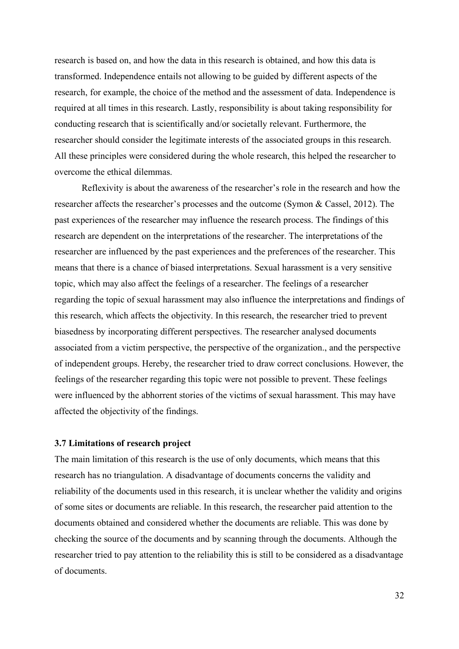research is based on, and how the data in this research is obtained, and how this data is transformed. Independence entails not allowing to be guided by different aspects of the research, for example, the choice of the method and the assessment of data. Independence is required at all times in this research. Lastly, responsibility is about taking responsibility for conducting research that is scientifically and/or societally relevant. Furthermore, the researcher should consider the legitimate interests of the associated groups in this research. All these principles were considered during the whole research, this helped the researcher to overcome the ethical dilemmas.

Reflexivity is about the awareness of the researcher's role in the research and how the researcher affects the researcher's processes and the outcome (Symon & Cassel, 2012). The past experiences of the researcher may influence the research process. The findings of this research are dependent on the interpretations of the researcher. The interpretations of the researcher are influenced by the past experiences and the preferences of the researcher. This means that there is a chance of biased interpretations. Sexual harassment is a very sensitive topic, which may also affect the feelings of a researcher. The feelings of a researcher regarding the topic of sexual harassment may also influence the interpretations and findings of this research, which affects the objectivity. In this research, the researcher tried to prevent biasedness by incorporating different perspectives. The researcher analysed documents associated from a victim perspective, the perspective of the organization., and the perspective of independent groups. Hereby, the researcher tried to draw correct conclusions. However, the feelings of the researcher regarding this topic were not possible to prevent. These feelings were influenced by the abhorrent stories of the victims of sexual harassment. This may have affected the objectivity of the findings.

#### <span id="page-31-0"></span>**3.7 Limitations of research project**

The main limitation of this research is the use of only documents, which means that this research has no triangulation. A disadvantage of documents concerns the validity and reliability of the documents used in this research, it is unclear whether the validity and origins of some sites or documents are reliable. In this research, the researcher paid attention to the documents obtained and considered whether the documents are reliable. This was done by checking the source of the documents and by scanning through the documents. Although the researcher tried to pay attention to the reliability this is still to be considered as a disadvantage of documents.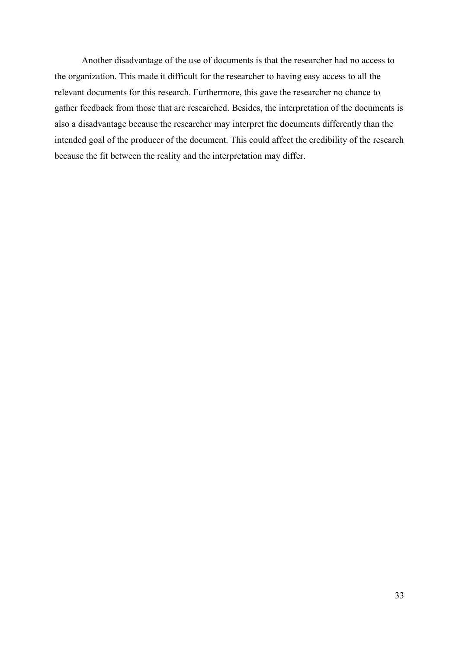Another disadvantage of the use of documents is that the researcher had no access to the organization. This made it difficult for the researcher to having easy access to all the relevant documents for this research. Furthermore, this gave the researcher no chance to gather feedback from those that are researched. Besides, the interpretation of the documents is also a disadvantage because the researcher may interpret the documents differently than the intended goal of the producer of the document. This could affect the credibility of the research because the fit between the reality and the interpretation may differ.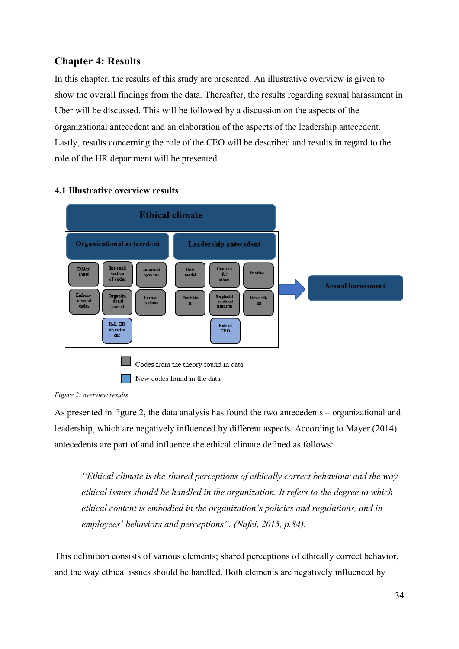## <span id="page-33-0"></span>**Chapter 4: Results**

In this chapter, the results of this study are presented. An illustrative overview is given to show the overall findings from the data. Thereafter, the results regarding sexual harassment in Uber will be discussed. This will be followed by a discussion on the aspects of the organizational antecedent and an elaboration of the aspects of the leadership antecedent. Lastly, results concerning the role of the CEO will be described and results in regard to the role of the HR department will be presented.

#### **Ethical climate Organizational antecedent Leadership antecedent** Informal<br>systems Ethical<br>codes Internali<br>-zation Concern Role<br>model Justice for<br>others of codes **Sexual harassment** Enforce Organiza<br>tional Rewardi-Formal<br>systems Punishin ------------<br>standards codes context Role HR Role of<br>CEO departm<br>ent Codes from the theory found in data New codes found in the data

#### <span id="page-33-1"></span>**4.1 Illustrative overview results**

*Figure 2: overview results*

As presented in figure 2, the data analysis has found the two antecedents – organizational and leadership, which are negatively influenced by different aspects. According to Mayer (2014) antecedents are part of and influence the ethical climate defined as follows:

*"Ethical climate is the shared perceptions of ethically correct behaviour and the way ethical issues should be handled in the organization. It refers to the degree to which ethical content is embodied in the organization's policies and regulations, and in employees' behaviors and perceptions". (Nafei, 2015, p.84).* 

This definition consists of various elements; shared perceptions of ethically correct behavior, and the way ethical issues should be handled. Both elements are negatively influenced by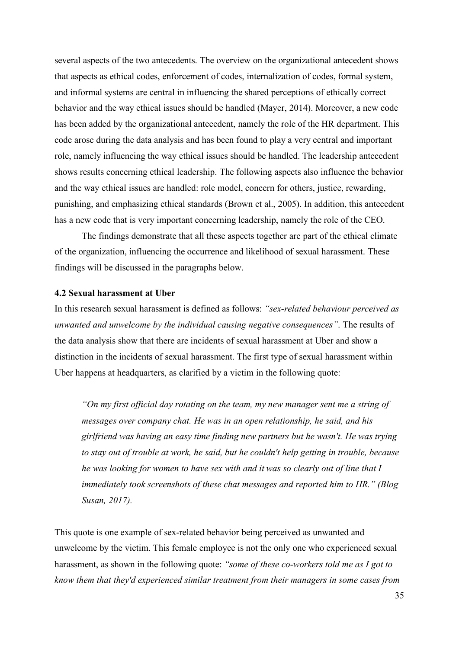several aspects of the two antecedents. The overview on the organizational antecedent shows that aspects as ethical codes, enforcement of codes, internalization of codes, formal system, and informal systems are central in influencing the shared perceptions of ethically correct behavior and the way ethical issues should be handled (Mayer, 2014). Moreover, a new code has been added by the organizational antecedent, namely the role of the HR department. This code arose during the data analysis and has been found to play a very central and important role, namely influencing the way ethical issues should be handled. The leadership antecedent shows results concerning ethical leadership. The following aspects also influence the behavior and the way ethical issues are handled: role model, concern for others, justice, rewarding, punishing, and emphasizing ethical standards (Brown et al., 2005). In addition, this antecedent has a new code that is very important concerning leadership, namely the role of the CEO.

The findings demonstrate that all these aspects together are part of the ethical climate of the organization, influencing the occurrence and likelihood of sexual harassment. These findings will be discussed in the paragraphs below.

#### <span id="page-34-0"></span>**4.2 Sexual harassment at Uber**

In this research sexual harassment is defined as follows: *"sex-related behaviour perceived as unwanted and unwelcome by the individual causing negative consequences"*. The results of the data analysis show that there are incidents of sexual harassment at Uber and show a distinction in the incidents of sexual harassment. The first type of sexual harassment within Uber happens at headquarters, as clarified by a victim in the following quote:

*"On my first official day rotating on the team, my new manager sent me a string of messages over company chat. He was in an open relationship, he said, and his girlfriend was having an easy time finding new partners but he wasn't. He was trying to stay out of trouble at work, he said, but he couldn't help getting in trouble, because he was looking for women to have sex with and it was so clearly out of line that I immediately took screenshots of these chat messages and reported him to HR." (Blog Susan, 2017).* 

This quote is one example of sex-related behavior being perceived as unwanted and unwelcome by the victim. This female employee is not the only one who experienced sexual harassment, as shown in the following quote: *"some of these co-workers told me as I got to know them that they'd experienced similar treatment from their managers in some cases from*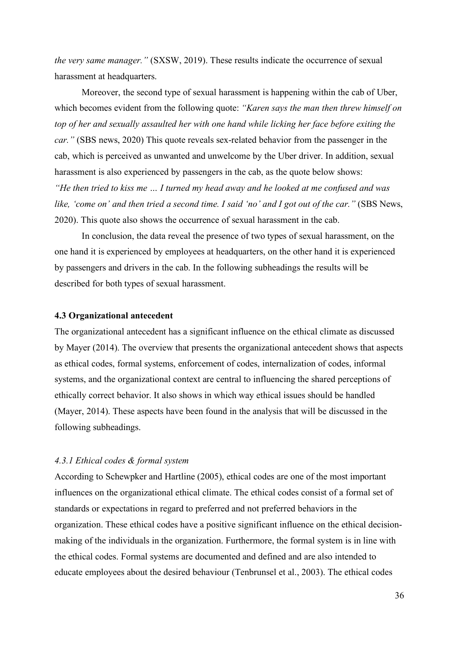*the very same manager."* (SXSW, 2019). These results indicate the occurrence of sexual harassment at headquarters.

Moreover, the second type of sexual harassment is happening within the cab of Uber, which becomes evident from the following quote: *"Karen says the man then threw himself on top of her and sexually assaulted her with one hand while licking her face before exiting the car."* (SBS news, 2020) This quote reveals sex-related behavior from the passenger in the cab, which is perceived as unwanted and unwelcome by the Uber driver. In addition, sexual harassment is also experienced by passengers in the cab, as the quote below shows: *"He then tried to kiss me … I turned my head away and he looked at me confused and was like, 'come on' and then tried a second time. I said 'no' and I got out of the car."* (SBS News, 2020). This quote also shows the occurrence of sexual harassment in the cab.

In conclusion, the data reveal the presence of two types of sexual harassment, on the one hand it is experienced by employees at headquarters, on the other hand it is experienced by passengers and drivers in the cab. In the following subheadings the results will be described for both types of sexual harassment.

#### <span id="page-35-0"></span>**4.3 Organizational antecedent**

The organizational antecedent has a significant influence on the ethical climate as discussed by Mayer (2014). The overview that presents the organizational antecedent shows that aspects as ethical codes, formal systems, enforcement of codes, internalization of codes, informal systems, and the organizational context are central to influencing the shared perceptions of ethically correct behavior. It also shows in which way ethical issues should be handled (Mayer, 2014). These aspects have been found in the analysis that will be discussed in the following subheadings.

#### <span id="page-35-1"></span>*4.3.1 Ethical codes & formal system*

According to Schewpker and Hartline (2005), ethical codes are one of the most important influences on the organizational ethical climate. The ethical codes consist of a formal set of standards or expectations in regard to preferred and not preferred behaviors in the organization. These ethical codes have a positive significant influence on the ethical decisionmaking of the individuals in the organization. Furthermore, the formal system is in line with the ethical codes. Formal systems are documented and defined and are also intended to educate employees about the desired behaviour (Tenbrunsel et al., 2003). The ethical codes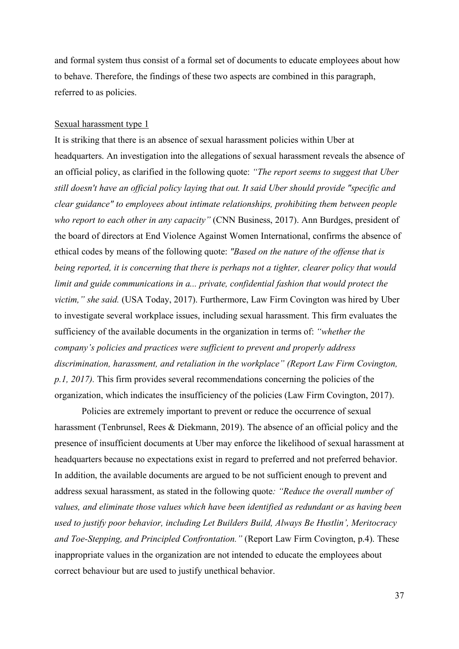and formal system thus consist of a formal set of documents to educate employees about how to behave. Therefore, the findings of these two aspects are combined in this paragraph, referred to as policies.

#### Sexual harassment type 1

It is striking that there is an absence of sexual harassment policies within Uber at headquarters. An investigation into the allegations of sexual harassment reveals the absence of an official policy, as clarified in the following quote: *"The report seems to suggest that Uber still doesn't have an official policy laying that out. It said Uber should provide "specific and clear guidance" to employees about intimate relationships, prohibiting them between people who report to each other in any capacity"* (CNN Business, 2017). Ann Burdges, president of the board of directors at End Violence Against Women International, confirms the absence of ethical codes by means of the following quote: *"Based on the nature of the offense that is being reported, it is concerning that there is perhaps not a tighter, clearer policy that would limit and guide communications in a... private, confidential fashion that would protect the victim," she said.* (USA Today, 2017). Furthermore, Law Firm Covington was hired by Uber to investigate several workplace issues, including sexual harassment. This firm evaluates the sufficiency of the available documents in the organization in terms of: *"whether the company's policies and practices were sufficient to prevent and properly address discrimination, harassment, and retaliation in the workplace" (Report Law Firm Covington, p.1, 2017).* This firm provides several recommendations concerning the policies of the organization, which indicates the insufficiency of the policies (Law Firm Covington, 2017).

Policies are extremely important to prevent or reduce the occurrence of sexual harassment (Tenbrunsel, Rees & Diekmann, 2019). The absence of an official policy and the presence of insufficient documents at Uber may enforce the likelihood of sexual harassment at headquarters because no expectations exist in regard to preferred and not preferred behavior. In addition, the available documents are argued to be not sufficient enough to prevent and address sexual harassment, as stated in the following quote*: "Reduce the overall number of values, and eliminate those values which have been identified as redundant or as having been used to justify poor behavior, including Let Builders Build, Always Be Hustlin', Meritocracy and Toe-Stepping, and Principled Confrontation."* (Report Law Firm Covington, p.4). These inappropriate values in the organization are not intended to educate the employees about correct behaviour but are used to justify unethical behavior.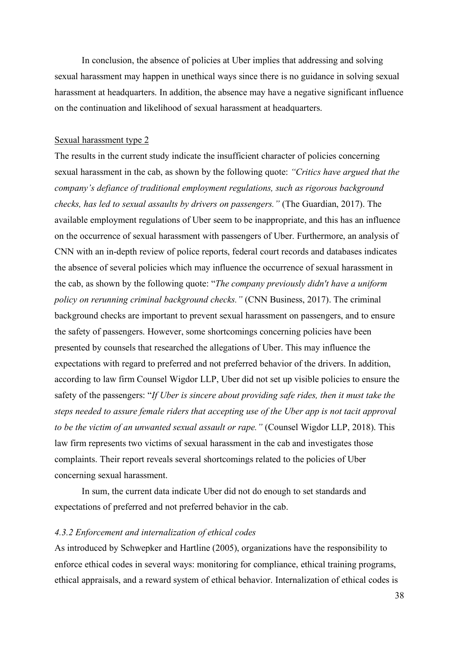In conclusion, the absence of policies at Uber implies that addressing and solving sexual harassment may happen in unethical ways since there is no guidance in solving sexual harassment at headquarters. In addition, the absence may have a negative significant influence on the continuation and likelihood of sexual harassment at headquarters.

#### Sexual harassment type 2

The results in the current study indicate the insufficient character of policies concerning sexual harassment in the cab, as shown by the following quote: *"Critics have argued that the company's defiance of traditional employment regulations, such as rigorous background checks, has led to sexual assaults by drivers on passengers."* (The Guardian, 2017). The available employment regulations of Uber seem to be inappropriate, and this has an influence on the occurrence of sexual harassment with passengers of Uber. Furthermore, an analysis of CNN with an in-depth review of police reports, federal court records and databases indicates the absence of several policies which may influence the occurrence of sexual harassment in the cab, as shown by the following quote: "*The company previously didn't have a uniform policy on rerunning criminal background checks."* (CNN Business, 2017). The criminal background checks are important to prevent sexual harassment on passengers, and to ensure the safety of passengers. However, some shortcomings concerning policies have been presented by counsels that researched the allegations of Uber. This may influence the expectations with regard to preferred and not preferred behavior of the drivers. In addition, according to law firm Counsel Wigdor LLP, Uber did not set up visible policies to ensure the safety of the passengers: "*If Uber is sincere about providing safe rides, then it must take the steps needed to assure female riders that accepting use of the Uber app is not tacit approval to be the victim of an unwanted sexual assault or rape."* (Counsel Wigdor LLP, 2018). This law firm represents two victims of sexual harassment in the cab and investigates those complaints. Their report reveals several shortcomings related to the policies of Uber concerning sexual harassment.

In sum, the current data indicate Uber did not do enough to set standards and expectations of preferred and not preferred behavior in the cab.

#### <span id="page-37-0"></span>*4.3.2 Enforcement and internalization of ethical codes*

As introduced by Schwepker and Hartline (2005), organizations have the responsibility to enforce ethical codes in several ways: monitoring for compliance, ethical training programs, ethical appraisals, and a reward system of ethical behavior. Internalization of ethical codes is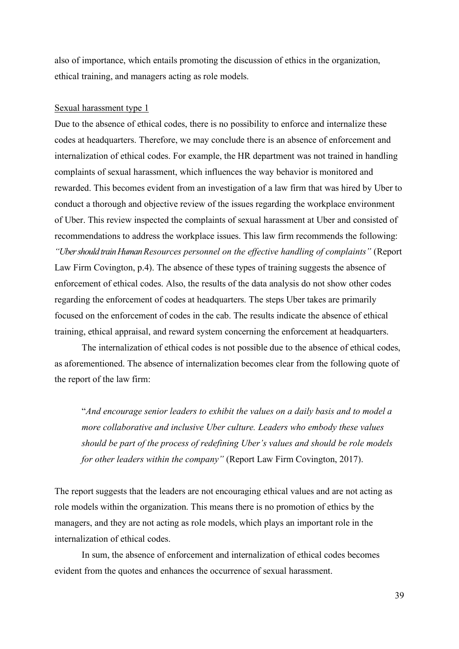also of importance, which entails promoting the discussion of ethics in the organization, ethical training, and managers acting as role models.

#### Sexual harassment type 1

Due to the absence of ethical codes, there is no possibility to enforce and internalize these codes at headquarters. Therefore, we may conclude there is an absence of enforcement and internalization of ethical codes. For example, the HR department was not trained in handling complaints of sexual harassment, which influences the way behavior is monitored and rewarded. This becomes evident from an investigation of a law firm that was hired by Uber to conduct a thorough and objective review of the issues regarding the workplace environment of Uber. This review inspected the complaints of sexual harassment at Uber and consisted of recommendations to address the workplace issues. This law firm recommends the following: *"UbershouldtrainHumanResources personnel on the effective handling of complaints"* (Report Law Firm Covington, p.4). The absence of these types of training suggests the absence of enforcement of ethical codes. Also, the results of the data analysis do not show other codes regarding the enforcement of codes at headquarters. The steps Uber takes are primarily focused on the enforcement of codes in the cab. The results indicate the absence of ethical training, ethical appraisal, and reward system concerning the enforcement at headquarters.

The internalization of ethical codes is not possible due to the absence of ethical codes, as aforementioned. The absence of internalization becomes clear from the following quote of the report of the law firm:

"*And encourage senior leaders to exhibit the values on a daily basis and to model a more collaborative and inclusive Uber culture. Leaders who embody these values should be part of the process of redefining Uber's values and should be role models for other leaders within the company"* (Report Law Firm Covington, 2017).

The report suggests that the leaders are not encouraging ethical values and are not acting as role models within the organization. This means there is no promotion of ethics by the managers, and they are not acting as role models, which plays an important role in the internalization of ethical codes.

In sum, the absence of enforcement and internalization of ethical codes becomes evident from the quotes and enhances the occurrence of sexual harassment.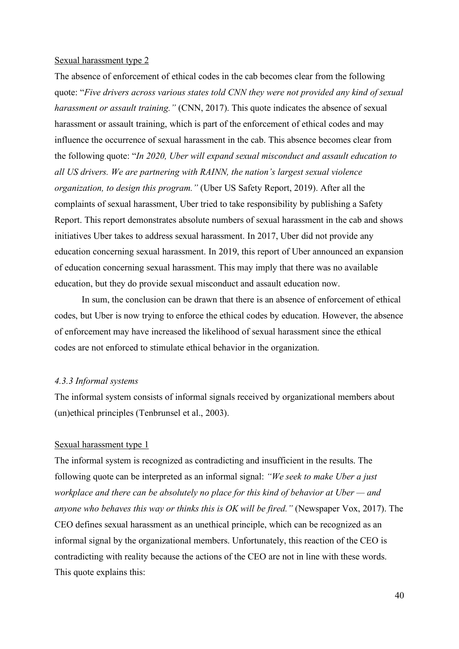#### Sexual harassment type 2

The absence of enforcement of ethical codes in the cab becomes clear from the following quote: "*Five drivers across various states told CNN they were not provided any kind of sexual harassment or assault training."* (CNN, 2017). This quote indicates the absence of sexual harassment or assault training, which is part of the enforcement of ethical codes and may influence the occurrence of sexual harassment in the cab. This absence becomes clear from the following quote: "*In 2020, Uber will expand sexual misconduct and assault education to all US drivers. We are partnering with RAINN, the nation's largest sexual violence organization, to design this program."* (Uber US Safety Report, 2019). After all the complaints of sexual harassment, Uber tried to take responsibility by publishing a Safety Report. This report demonstrates absolute numbers of sexual harassment in the cab and shows initiatives Uber takes to address sexual harassment. In 2017, Uber did not provide any education concerning sexual harassment. In 2019, this report of Uber announced an expansion of education concerning sexual harassment. This may imply that there was no available education, but they do provide sexual misconduct and assault education now.

In sum, the conclusion can be drawn that there is an absence of enforcement of ethical codes, but Uber is now trying to enforce the ethical codes by education. However, the absence of enforcement may have increased the likelihood of sexual harassment since the ethical codes are not enforced to stimulate ethical behavior in the organization.

#### <span id="page-39-0"></span>*4.3.3 Informal systems*

The informal system consists of informal signals received by organizational members about (un)ethical principles (Tenbrunsel et al., 2003).

#### Sexual harassment type 1

The informal system is recognized as contradicting and insufficient in the results. The following quote can be interpreted as an informal signal: *"We seek to make Uber a just workplace and there can be absolutely no place for this kind of behavior at Uber — and anyone who behaves this way or thinks this is OK will be fired."* (Newspaper Vox, 2017). The CEO defines sexual harassment as an unethical principle, which can be recognized as an informal signal by the organizational members. Unfortunately, this reaction of the CEO is contradicting with reality because the actions of the CEO are not in line with these words. This quote explains this: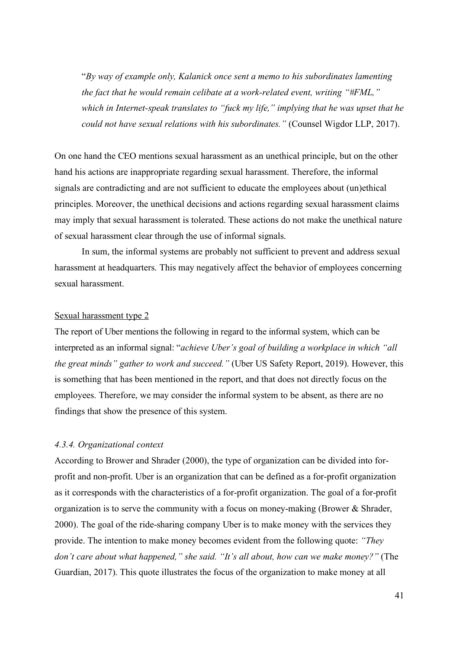"*By way of example only, Kalanick once sent a memo to his subordinates lamenting the fact that he would remain celibate at a work-related event, writing "#FML," which in Internet-speak translates to "fuck my life," implying that he was upset that he could not have sexual relations with his subordinates."* (Counsel Wigdor LLP, 2017).

On one hand the CEO mentions sexual harassment as an unethical principle, but on the other hand his actions are inappropriate regarding sexual harassment. Therefore, the informal signals are contradicting and are not sufficient to educate the employees about (un)ethical principles. Moreover, the unethical decisions and actions regarding sexual harassment claims may imply that sexual harassment is tolerated. These actions do not make the unethical nature of sexual harassment clear through the use of informal signals.

In sum, the informal systems are probably not sufficient to prevent and address sexual harassment at headquarters. This may negatively affect the behavior of employees concerning sexual harassment.

#### Sexual harassment type 2

The report of Uber mentions the following in regard to the informal system, which can be interpreted as an informal signal: "*achieve Uber's goal of building a workplace in which "all the great minds" gather to work and succeed."* (Uber US Safety Report, 2019). However, this is something that has been mentioned in the report, and that does not directly focus on the employees. Therefore, we may consider the informal system to be absent, as there are no findings that show the presence of this system.

#### <span id="page-40-0"></span>*4.3.4. Organizational context*

According to Brower and Shrader (2000), the type of organization can be divided into forprofit and non-profit. Uber is an organization that can be defined as a for-profit organization as it corresponds with the characteristics of a for-profit organization. The goal of a for-profit organization is to serve the community with a focus on money-making (Brower & Shrader, 2000). The goal of the ride-sharing company Uber is to make money with the services they provide. The intention to make money becomes evident from the following quote: *"They don't care about what happened," she said. "It's all about, how can we make money?"* (The Guardian, 2017). This quote illustrates the focus of the organization to make money at all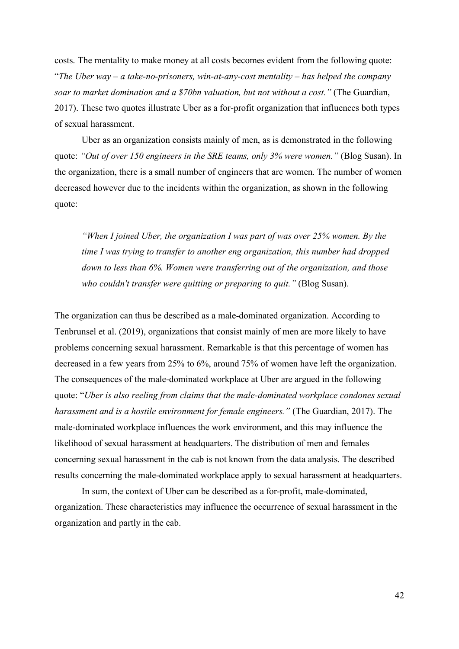costs. The mentality to make money at all costs becomes evident from the following quote: "*The Uber way – a take-no-prisoners, win-at-any-cost mentality – has helped the company soar to market domination and a \$70bn valuation, but not without a cost."* (The Guardian, 2017). These two quotes illustrate Uber as a for-profit organization that influences both types of sexual harassment.

Uber as an organization consists mainly of men, as is demonstrated in the following quote: *"Out of over 150 engineers in the SRE teams, only 3% were women."* (Blog Susan). In the organization, there is a small number of engineers that are women. The number of women decreased however due to the incidents within the organization, as shown in the following quote:

*"When I joined Uber, the organization I was part of was over 25% women. By the time I was trying to transfer to another eng organization, this number had dropped down to less than 6%. Women were transferring out of the organization, and those who couldn't transfer were quitting or preparing to quit."* (Blog Susan).

The organization can thus be described as a male-dominated organization. According to Tenbrunsel et al. (2019), organizations that consist mainly of men are more likely to have problems concerning sexual harassment. Remarkable is that this percentage of women has decreased in a few years from 25% to 6%, around 75% of women have left the organization. The consequences of the male-dominated workplace at Uber are argued in the following quote: "*Uber is also reeling from claims that the [male-dominated](https://www.theguardian.com/technology/2017/mar/28/uber-diversity-report-white-male-women-minorities) workplace condones [sexual](https://www.theguardian.com/technology/2017/feb/20/uber-urgent-investigation-sexual-harassment-claims-susan-fowler) [harassment](https://www.theguardian.com/technology/2017/feb/20/uber-urgent-investigation-sexual-harassment-claims-susan-fowler) and is a hostile environment for female engineers."* (The Guardian, 2017). The male-dominated workplace influences the work environment, and this may influence the likelihood of sexual harassment at headquarters. The distribution of men and females concerning sexual harassment in the cab is not known from the data analysis. The described results concerning the male-dominated workplace apply to sexual harassment at headquarters.

In sum, the context of Uber can be described as a for-profit, male-dominated, organization. These characteristics may influence the occurrence of sexual harassment in the organization and partly in the cab.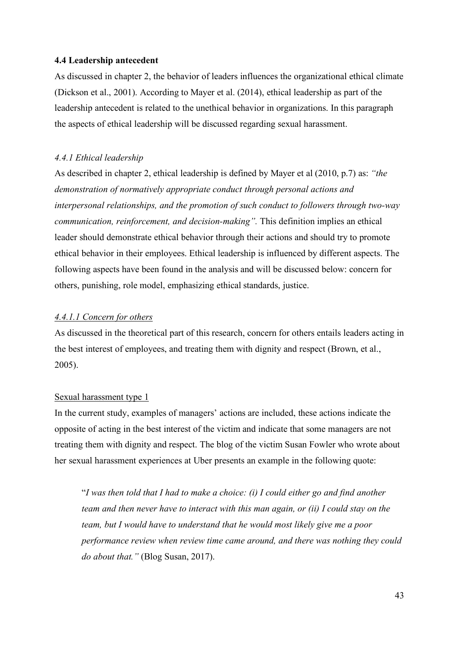#### <span id="page-42-0"></span>**4.4 Leadership antecedent**

As discussed in chapter 2, the behavior of leaders influences the organizational ethical climate (Dickson et al., 2001). According to Mayer et al. (2014), ethical leadership as part of the leadership antecedent is related to the unethical behavior in organizations. In this paragraph the aspects of ethical leadership will be discussed regarding sexual harassment.

#### <span id="page-42-1"></span>*4.4.1 Ethical leadership*

As described in chapter 2, ethical leadership is defined by Mayer et al (2010, p.7) as: *"the demonstration of normatively appropriate conduct through personal actions and interpersonal relationships, and the promotion of such conduct to followers through two-way communication, reinforcement, and decision-making".* This definition implies an ethical leader should demonstrate ethical behavior through their actions and should try to promote ethical behavior in their employees. Ethical leadership is influenced by different aspects. The following aspects have been found in the analysis and will be discussed below: concern for others, punishing, role model, emphasizing ethical standards, justice.

#### *4.4.1.1 Concern for others*

As discussed in the theoretical part of this research, concern for others entails leaders acting in the best interest of employees, and treating them with dignity and respect (Brown, et al., 2005).

#### Sexual harassment type 1

In the current study, examples of managers' actions are included, these actions indicate the opposite of acting in the best interest of the victim and indicate that some managers are not treating them with dignity and respect. The blog of the victim Susan Fowler who wrote about her sexual harassment experiences at Uber presents an example in the following quote:

"*I was then told that I had to make a choice: (i) I could either go and find another team and then never have to interact with this man again, or (ii) I could stay on the team, but I would have to understand that he would most likely give me a poor performance review when review time came around, and there was nothing they could do about that."* (Blog Susan, 2017).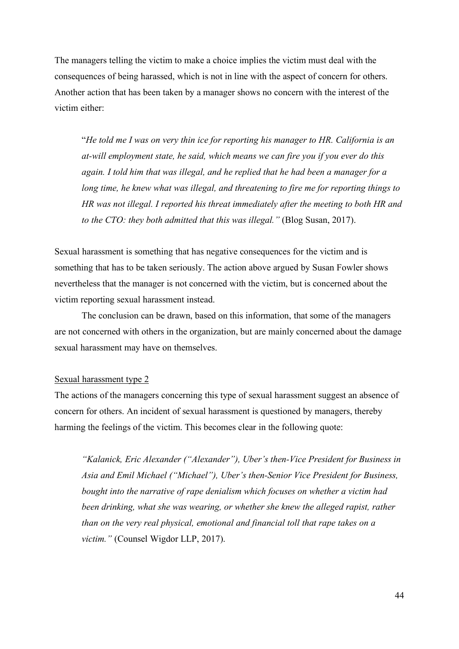The managers telling the victim to make a choice implies the victim must deal with the consequences of being harassed, which is not in line with the aspect of concern for others. Another action that has been taken by a manager shows no concern with the interest of the victim either:

"*He told me I was on very thin ice for reporting his manager to HR. California is an at-will employment state, he said, which means we can fire you if you ever do this again. I told him that was illegal, and he replied that he had been a manager for a long time, he knew what was illegal, and threatening to fire me for reporting things to HR was not illegal. I reported his threat immediately after the meeting to both HR and to the CTO: they both admitted that this was illegal."* (Blog Susan, 2017).

Sexual harassment is something that has negative consequences for the victim and is something that has to be taken seriously. The action above argued by Susan Fowler shows nevertheless that the manager is not concerned with the victim, but is concerned about the victim reporting sexual harassment instead.

The conclusion can be drawn, based on this information, that some of the managers are not concerned with others in the organization, but are mainly concerned about the damage sexual harassment may have on themselves.

#### Sexual harassment type 2

The actions of the managers concerning this type of sexual harassment suggest an absence of concern for others. An incident of sexual harassment is questioned by managers, thereby harming the feelings of the victim. This becomes clear in the following quote:

*"Kalanick, Eric Alexander ("Alexander"), Uber's then-Vice President for Business in Asia and Emil Michael ("Michael"), Uber's then-Senior Vice President for Business, bought into the narrative of rape denialism which focuses on whether a victim had been drinking, what she was wearing, or whether she knew the alleged rapist, rather than on the very real physical, emotional and financial toll that rape takes on a victim."* (Counsel Wigdor LLP, 2017).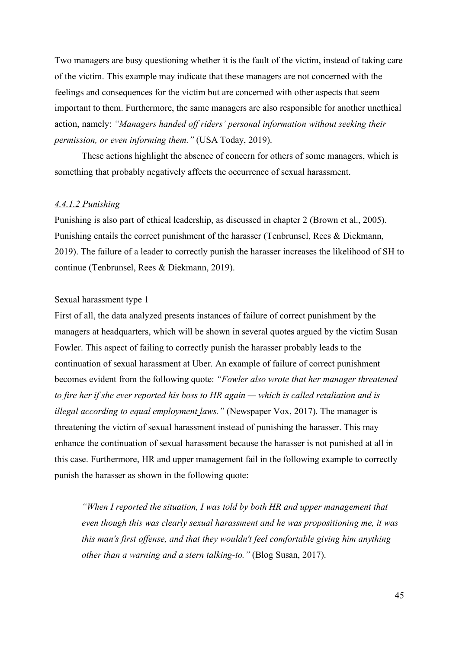Two managers are busy questioning whether it is the fault of the victim, instead of taking care of the victim. This example may indicate that these managers are not concerned with the feelings and consequences for the victim but are concerned with other aspects that seem important to them. Furthermore, the same managers are also responsible for another unethical action, namely: *"Managers handed off riders' personal information without seeking their permission, or even informing them."* (USA Today, 2019).

These actions highlight the absence of concern for others of some managers, which is something that probably negatively affects the occurrence of sexual harassment.

#### *4.4.1.2 Punishing*

Punishing is also part of ethical leadership, as discussed in chapter 2 (Brown et al., 2005). Punishing entails the correct punishment of the harasser (Tenbrunsel, Rees & Diekmann, 2019). The failure of a leader to correctly punish the harasser increases the likelihood of SH to continue (Tenbrunsel, Rees & Diekmann, 2019).

#### Sexual harassment type 1

First of all, the data analyzed presents instances of failure of correct punishment by the managers at headquarters, which will be shown in several quotes argued by the victim Susan Fowler. This aspect of failing to correctly punish the harasser probably leads to the continuation of sexual harassment at Uber. An example of failure of correct punishment becomes evident from the following quote: *"Fowler also wrote that her manager threatened to fire her if she ever reported his boss to HR again — which is called retaliation [and is](https://www.eeoc.gov/laws/types/retaliation.cfm)  [illegal according to equal employment](https://www.eeoc.gov/laws/types/retaliation.cfm) laws."* (Newspaper Vox, 2017). The manager is threatening the victim of sexual harassment instead of punishing the harasser. This may enhance the continuation of sexual harassment because the harasser is not punished at all in this case. Furthermore, HR and upper management fail in the following example to correctly punish the harasser as shown in the following quote:

*"When I reported the situation, I was told by both HR and upper management that even though this was clearly sexual harassment and he was propositioning me, it was this man's first offense, and that they wouldn't feel comfortable giving him anything other than a warning and a stern talking-to."* (Blog Susan, 2017).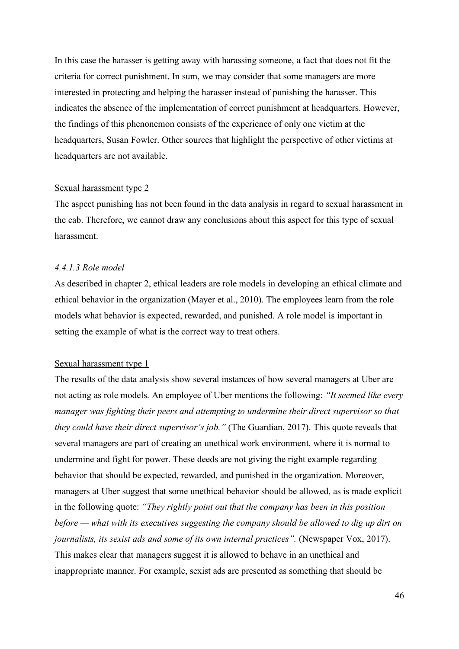In this case the harasser is getting away with harassing someone, a fact that does not fit the criteria for correct punishment. In sum, we may consider that some managers are more interested in protecting and helping the harasser instead of punishing the harasser. This indicates the absence of the implementation of correct punishment at headquarters. However, the findings of this phenonemon consists of the experience of only one victim at the headquarters, Susan Fowler. Other sources that highlight the perspective of other victims at headquarters are not available.

#### Sexual harassment type 2

The aspect punishing has not been found in the data analysis in regard to sexual harassment in the cab. Therefore, we cannot draw any conclusions about this aspect for this type of sexual harassment.

#### *4.4.1.3 Role model*

As described in chapter 2, ethical leaders are role models in developing an ethical climate and ethical behavior in the organization (Mayer et al., 2010). The employees learn from the role models what behavior is expected, rewarded, and punished. A role model is important in setting the example of what is the correct way to treat others.

#### Sexual harassment type 1

The results of the data analysis show several instances of how several managers at Uber are not acting as role models. An employee of Uber mentions the following: *"It seemed like every manager was fighting their peers and attempting to undermine their direct supervisor so that they could have their direct supervisor's job."* (The Guardian, 2017). This quote reveals that several managers are part of creating an unethical work environment, where it is normal to undermine and fight for power. These deeds are not giving the right example regarding behavior that should be expected, rewarded, and punished in the organization. Moreover, managers at Uber suggest that some unethical behavior should be allowed, as is made explicit in the following quote: *"They rightly point out that the company has been in this position before — what with its executives suggesting the company should be allowed to dig up dirt on journalists, its sexist ads and some of its own internal practices*". (Newspaper Vox, 2017). This makes clear that managers suggest it is allowed to behave in an unethical and inappropriate manner. For example, sexist ads are presented as something that should be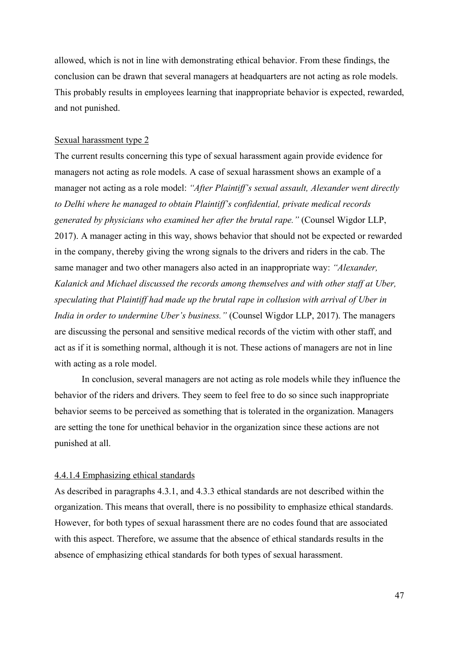allowed, which is not in line with demonstrating ethical behavior. From these findings, the conclusion can be drawn that several managers at headquarters are not acting as role models. This probably results in employees learning that inappropriate behavior is expected, rewarded, and not punished.

#### Sexual harassment type 2

The current results concerning this type of sexual harassment again provide evidence for managers not acting as role models. A case of sexual harassment shows an example of a manager not acting as a role model: *"After Plaintiff's sexual assault, Alexander went directly to Delhi where he managed to obtain Plaintiff's confidential, private medical records generated by physicians who examined her after the brutal rape."* (Counsel Wigdor LLP, 2017). A manager acting in this way, shows behavior that should not be expected or rewarded in the company, thereby giving the wrong signals to the drivers and riders in the cab. The same manager and two other managers also acted in an inappropriate way: *"Alexander, Kalanick and Michael discussed the records among themselves and with other staff at Uber, speculating that Plaintiff had made up the brutal rape in collusion with arrival of Uber in India in order to undermine Uber's business."* (Counsel Wigdor LLP, 2017). The managers are discussing the personal and sensitive medical records of the victim with other staff, and act as if it is something normal, although it is not. These actions of managers are not in line with acting as a role model.

In conclusion, several managers are not acting as role models while they influence the behavior of the riders and drivers. They seem to feel free to do so since such inappropriate behavior seems to be perceived as something that is tolerated in the organization. Managers are setting the tone for unethical behavior in the organization since these actions are not punished at all.

#### 4.4.1.4 Emphasizing ethical standards

As described in paragraphs 4.3.1, and 4.3.3 ethical standards are not described within the organization. This means that overall, there is no possibility to emphasize ethical standards. However, for both types of sexual harassment there are no codes found that are associated with this aspect. Therefore, we assume that the absence of ethical standards results in the absence of emphasizing ethical standards for both types of sexual harassment.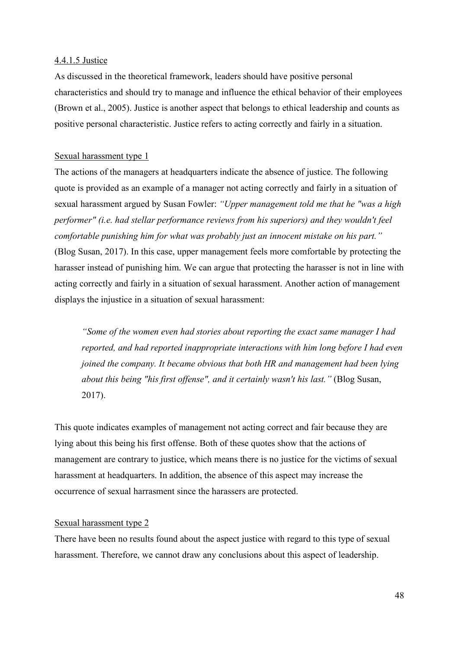#### 4.4.1.5 Justice

As discussed in the theoretical framework, leaders should have positive personal characteristics and should try to manage and influence the ethical behavior of their employees (Brown et al., 2005). Justice is another aspect that belongs to ethical leadership and counts as positive personal characteristic. Justice refers to acting correctly and fairly in a situation.

#### Sexual harassment type 1

The actions of the managers at headquarters indicate the absence of justice. The following quote is provided as an example of a manager not acting correctly and fairly in a situation of sexual harassment argued by Susan Fowler: *"Upper management told me that he "was a high performer" (i.e. had stellar performance reviews from his superiors) and they wouldn't feel comfortable punishing him for what was probably just an innocent mistake on his part."*  (Blog Susan, 2017). In this case, upper management feels more comfortable by protecting the harasser instead of punishing him. We can argue that protecting the harasser is not in line with acting correctly and fairly in a situation of sexual harassment. Another action of management displays the injustice in a situation of sexual harassment:

*"Some of the women even had stories about reporting the exact same manager I had reported, and had reported inappropriate interactions with him long before I had even joined the company. It became obvious that both HR and management had been lying about this being "his first offense", and it certainly wasn't his last."* (Blog Susan, 2017).

This quote indicates examples of management not acting correct and fair because they are lying about this being his first offense. Both of these quotes show that the actions of management are contrary to justice, which means there is no justice for the victims of sexual harassment at headquarters. In addition, the absence of this aspect may increase the occurrence of sexual harrasment since the harassers are protected.

#### Sexual harassment type 2

There have been no results found about the aspect justice with regard to this type of sexual harassment. Therefore, we cannot draw any conclusions about this aspect of leadership.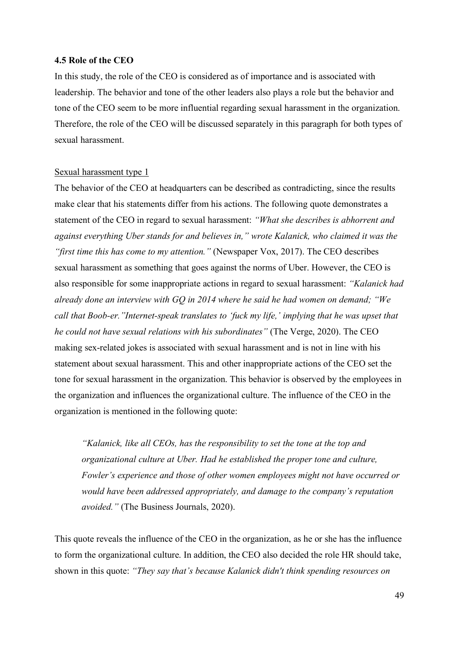#### <span id="page-48-0"></span>**4.5 Role of the CEO**

In this study, the role of the CEO is considered as of importance and is associated with leadership. The behavior and tone of the other leaders also plays a role but the behavior and tone of the CEO seem to be more influential regarding sexual harassment in the organization. Therefore, the role of the CEO will be discussed separately in this paragraph for both types of sexual harassment.

#### Sexual harassment type 1

The behavior of the CEO at headquarters can be described as contradicting, since the results make clear that his statements differ from his actions. The following quote demonstrates a statement of the CEO in regard to sexual harassment: *"What she describes is abhorrent and against everything Uber stands for and believes in," wrote Kalanick, who claimed it was the "first time this has come to my attention."* (Newspaper Vox, 2017). The CEO describes sexual harassment as something that goes against the norms of Uber. However, the CEO is also responsible for some inappropriate actions in regard to sexual harassment: *"Kalanick had already [done an interview with](https://www.gq.com/story/uber-cab-confessions) GQ in 2014 where he said he had women on demand; "We call that Boob-er."Internet-speak translates to 'fuck my life,' implying that he was upset that he could not have sexual relations with his subordinates"* (The Verge, 2020). The CEO making sex-related jokes is associated with sexual harassment and is not in line with his statement about sexual harassment. This and other inappropriate actions of the CEO set the tone for sexual harassment in the organization. This behavior is observed by the employees in the organization and influences the organizational culture. The influence of the CEO in the organization is mentioned in the following quote:

*"Kalanick, like all CEOs, has the responsibility to set the tone at the top and organizational culture at Uber. Had he established the proper tone and culture, Fowler's experience and those of other women employees might not have occurred or would have been addressed appropriately, and damage to the company's reputation avoided."* (The Business Journals, 2020).

This quote reveals the influence of the CEO in the organization, as he or she has the influence to form the organizational culture. In addition, the CEO also decided the role HR should take, shown in this quote: *"They say that's because Kalanick didn't think spending resources on*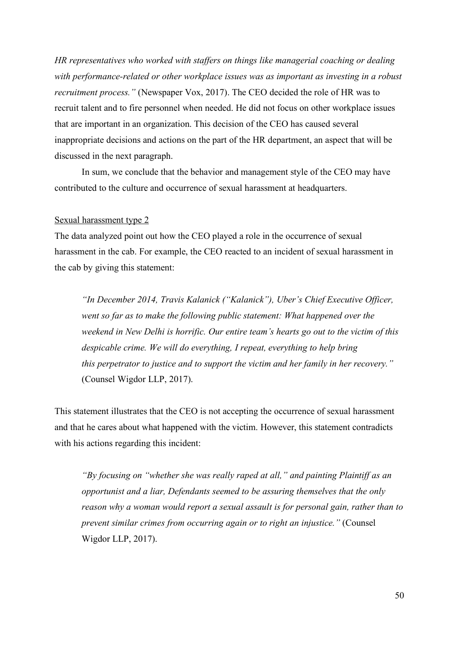*HR representatives who worked with staffers on things like managerial coaching or dealing with performance-related or other workplace issues was as important as investing in a robust recruitment process."* (Newspaper Vox, 2017). The CEO decided the role of HR was to recruit talent and to fire personnel when needed. He did not focus on other workplace issues that are important in an organization. This decision of the CEO has caused several inappropriate decisions and actions on the part of the HR department, an aspect that will be discussed in the next paragraph.

In sum, we conclude that the behavior and management style of the CEO may have contributed to the culture and occurrence of sexual harassment at headquarters.

#### Sexual harassment type 2

The data analyzed point out how the CEO played a role in the occurrence of sexual harassment in the cab. For example, the CEO reacted to an incident of sexual harassment in the cab by giving this statement:

*"In December 2014, Travis Kalanick ("Kalanick"), Uber's Chief Executive Officer, went so far as to make the following public statement: What happened over the weekend in New Delhi is horrific. Our entire team's hearts go out to the victim of this despicable crime. We will do everything, I repeat, everything to help bring this perpetrator to justice and to support the victim and her family in her recovery."* (Counsel Wigdor LLP, 2017).

This statement illustrates that the CEO is not accepting the occurrence of sexual harassment and that he cares about what happened with the victim. However, this statement contradicts with his actions regarding this incident:

*"By focusing on "whether she was really raped at all," and painting Plaintiff as an opportunist and a liar, Defendants seemed to be assuring themselves that the only reason why a woman would report a sexual assault is for personal gain, rather than to prevent similar crimes from occurring again or to right an injustice."* (Counsel Wigdor LLP, 2017).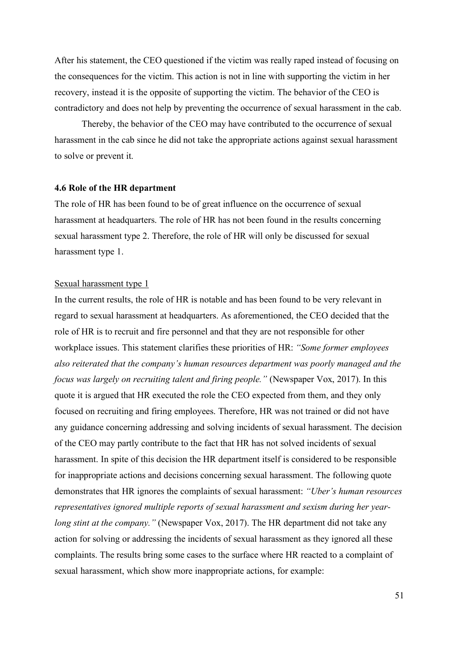After his statement, the CEO questioned if the victim was really raped instead of focusing on the consequences for the victim. This action is not in line with supporting the victim in her recovery, instead it is the opposite of supporting the victim. The behavior of the CEO is contradictory and does not help by preventing the occurrence of sexual harassment in the cab.

Thereby, the behavior of the CEO may have contributed to the occurrence of sexual harassment in the cab since he did not take the appropriate actions against sexual harassment to solve or prevent it.

#### <span id="page-50-0"></span>**4.6 Role of the HR department**

The role of HR has been found to be of great influence on the occurrence of sexual harassment at headquarters. The role of HR has not been found in the results concerning sexual harassment type 2. Therefore, the role of HR will only be discussed for sexual harassment type 1.

#### Sexual harassment type 1

In the current results, the role of HR is notable and has been found to be very relevant in regard to sexual harassment at headquarters. As aforementioned, the CEO decided that the role of HR is to recruit and fire personnel and that they are not responsible for other workplace issues. This statement clarifies these priorities of HR: *"Some former employees also reiterated that the company's human resources department was poorly managed and the focus was largely on recruiting talent and firing people."* (Newspaper Vox, 2017). In this quote it is argued that HR executed the role the CEO expected from them, and they only focused on recruiting and firing employees. Therefore, HR was not trained or did not have any guidance concerning addressing and solving incidents of sexual harassment. The decision of the CEO may partly contribute to the fact that HR has not solved incidents of sexual harassment. In spite of this decision the HR department itself is considered to be responsible for inappropriate actions and decisions concerning sexual harassment. The following quote demonstrates that HR ignores the complaints of sexual harassment: *"Uber's human resources representatives ignored multiple reports of sexual harassment and sexism during her yearlong stint at the company."* (Newspaper Vox, 2017). The HR department did not take any action for solving or addressing the incidents of sexual harassment as they ignored all these complaints. The results bring some cases to the surface where HR reacted to a complaint of sexual harassment, which show more inappropriate actions, for example: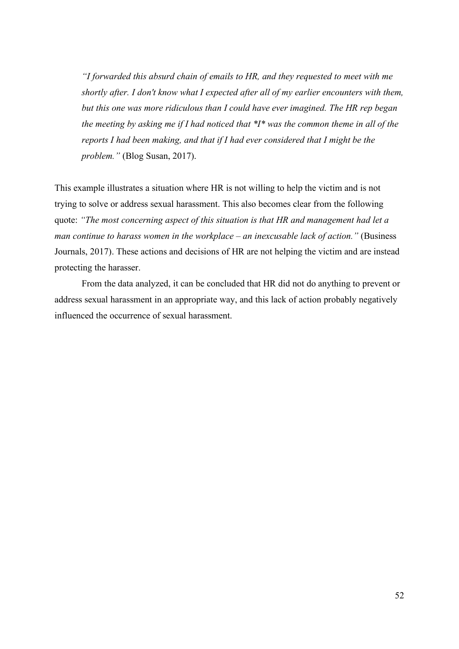*"I forwarded this absurd chain of emails to HR, and they requested to meet with me shortly after. I don't know what I expected after all of my earlier encounters with them, but this one was more ridiculous than I could have ever imagined. The HR rep began the meeting by asking me if I had noticed that \*I\* was the common theme in all of the reports I had been making, and that if I had ever considered that I might be the problem."* (Blog Susan, 2017).

This example illustrates a situation where HR is not willing to help the victim and is not trying to solve or address sexual harassment. This also becomes clear from the following quote: *"The most concerning aspect of this situation is that HR and management had let a man continue to harass women in the workplace – an inexcusable lack of action."* (Business Journals, 2017). These actions and decisions of HR are not helping the victim and are instead protecting the harasser.

From the data analyzed, it can be concluded that HR did not do anything to prevent or address sexual harassment in an appropriate way, and this lack of action probably negatively influenced the occurrence of sexual harassment.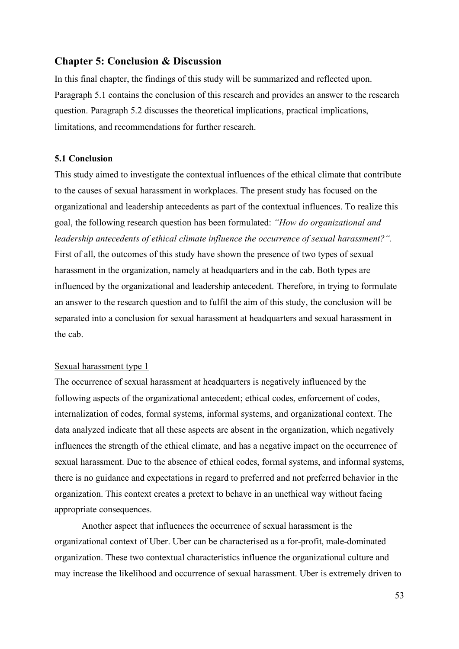#### <span id="page-52-0"></span>**Chapter 5: Conclusion & Discussion**

In this final chapter, the findings of this study will be summarized and reflected upon. Paragraph 5.1 contains the conclusion of this research and provides an answer to the research question. Paragraph 5.2 discusses the theoretical implications, practical implications, limitations, and recommendations for further research.

#### <span id="page-52-1"></span>**5.1 Conclusion**

This study aimed to investigate the contextual influences of the ethical climate that contribute to the causes of sexual harassment in workplaces. The present study has focused on the organizational and leadership antecedents as part of the contextual influences. To realize this goal, the following research question has been formulated: *"How do organizational and leadership antecedents of ethical climate influence the occurrence of sexual harassment?".*  First of all, the outcomes of this study have shown the presence of two types of sexual harassment in the organization, namely at headquarters and in the cab. Both types are influenced by the organizational and leadership antecedent. Therefore, in trying to formulate an answer to the research question and to fulfil the aim of this study, the conclusion will be separated into a conclusion for sexual harassment at headquarters and sexual harassment in the cab.

#### Sexual harassment type 1

The occurrence of sexual harassment at headquarters is negatively influenced by the following aspects of the organizational antecedent; ethical codes, enforcement of codes, internalization of codes, formal systems, informal systems, and organizational context. The data analyzed indicate that all these aspects are absent in the organization, which negatively influences the strength of the ethical climate, and has a negative impact on the occurrence of sexual harassment. Due to the absence of ethical codes, formal systems, and informal systems, there is no guidance and expectations in regard to preferred and not preferred behavior in the organization. This context creates a pretext to behave in an unethical way without facing appropriate consequences.

Another aspect that influences the occurrence of sexual harassment is the organizational context of Uber. Uber can be characterised as a for-profit, male-dominated organization. These two contextual characteristics influence the organizational culture and may increase the likelihood and occurrence of sexual harassment. Uber is extremely driven to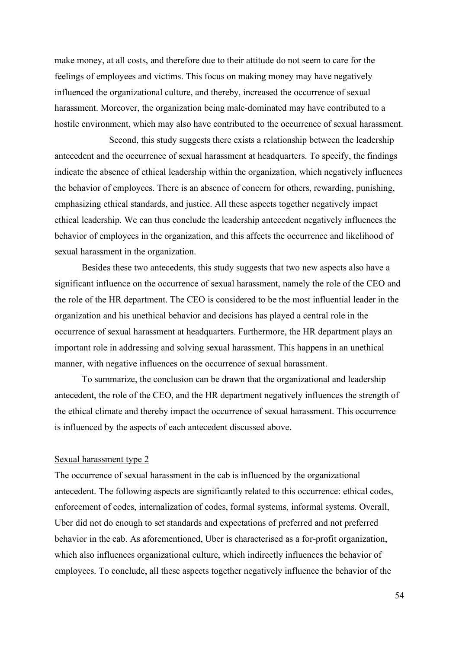make money, at all costs, and therefore due to their attitude do not seem to care for the feelings of employees and victims. This focus on making money may have negatively influenced the organizational culture, and thereby, increased the occurrence of sexual harassment. Moreover, the organization being male-dominated may have contributed to a hostile environment, which may also have contributed to the occurrence of sexual harassment.

Second, this study suggests there exists a relationship between the leadership antecedent and the occurrence of sexual harassment at headquarters. To specify, the findings indicate the absence of ethical leadership within the organization, which negatively influences the behavior of employees. There is an absence of concern for others, rewarding, punishing, emphasizing ethical standards, and justice. All these aspects together negatively impact ethical leadership. We can thus conclude the leadership antecedent negatively influences the behavior of employees in the organization, and this affects the occurrence and likelihood of sexual harassment in the organization.

Besides these two antecedents, this study suggests that two new aspects also have a significant influence on the occurrence of sexual harassment, namely the role of the CEO and the role of the HR department. The CEO is considered to be the most influential leader in the organization and his unethical behavior and decisions has played a central role in the occurrence of sexual harassment at headquarters. Furthermore, the HR department plays an important role in addressing and solving sexual harassment. This happens in an unethical manner, with negative influences on the occurrence of sexual harassment.

To summarize, the conclusion can be drawn that the organizational and leadership antecedent, the role of the CEO, and the HR department negatively influences the strength of the ethical climate and thereby impact the occurrence of sexual harassment. This occurrence is influenced by the aspects of each antecedent discussed above.

#### Sexual harassment type 2

The occurrence of sexual harassment in the cab is influenced by the organizational antecedent. The following aspects are significantly related to this occurrence: ethical codes, enforcement of codes, internalization of codes, formal systems, informal systems. Overall, Uber did not do enough to set standards and expectations of preferred and not preferred behavior in the cab. As aforementioned, Uber is characterised as a for-profit organization, which also influences organizational culture, which indirectly influences the behavior of employees. To conclude, all these aspects together negatively influence the behavior of the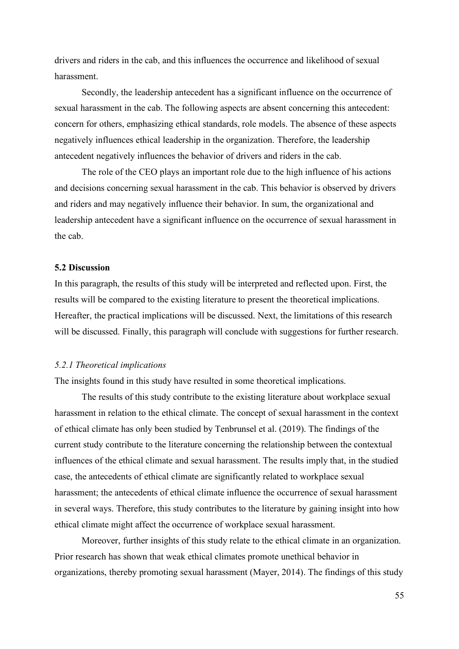drivers and riders in the cab, and this influences the occurrence and likelihood of sexual harassment.

Secondly, the leadership antecedent has a significant influence on the occurrence of sexual harassment in the cab. The following aspects are absent concerning this antecedent: concern for others, emphasizing ethical standards, role models. The absence of these aspects negatively influences ethical leadership in the organization. Therefore, the leadership antecedent negatively influences the behavior of drivers and riders in the cab.

The role of the CEO plays an important role due to the high influence of his actions and decisions concerning sexual harassment in the cab. This behavior is observed by drivers and riders and may negatively influence their behavior. In sum, the organizational and leadership antecedent have a significant influence on the occurrence of sexual harassment in the cab.

#### <span id="page-54-0"></span>**5.2 Discussion**

In this paragraph, the results of this study will be interpreted and reflected upon. First, the results will be compared to the existing literature to present the theoretical implications. Hereafter, the practical implications will be discussed. Next, the limitations of this research will be discussed. Finally, this paragraph will conclude with suggestions for further research.

#### <span id="page-54-1"></span>*5.2.1 Theoretical implications*

The insights found in this study have resulted in some theoretical implications.

The results of this study contribute to the existing literature about workplace sexual harassment in relation to the ethical climate. The concept of sexual harassment in the context of ethical climate has only been studied by Tenbrunsel et al. (2019). The findings of the current study contribute to the literature concerning the relationship between the contextual influences of the ethical climate and sexual harassment. The results imply that, in the studied case, the antecedents of ethical climate are significantly related to workplace sexual harassment; the antecedents of ethical climate influence the occurrence of sexual harassment in several ways. Therefore, this study contributes to the literature by gaining insight into how ethical climate might affect the occurrence of workplace sexual harassment.

Moreover, further insights of this study relate to the ethical climate in an organization. Prior research has shown that weak ethical climates promote unethical behavior in organizations, thereby promoting sexual harassment (Mayer, 2014). The findings of this study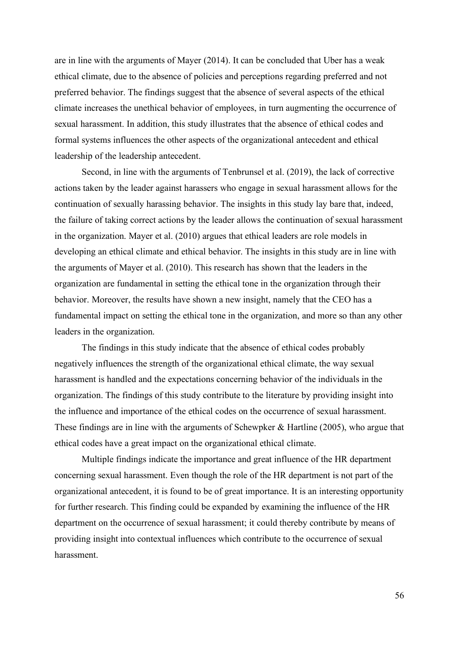are in line with the arguments of Mayer (2014). It can be concluded that Uber has a weak ethical climate, due to the absence of policies and perceptions regarding preferred and not preferred behavior. The findings suggest that the absence of several aspects of the ethical climate increases the unethical behavior of employees, in turn augmenting the occurrence of sexual harassment. In addition, this study illustrates that the absence of ethical codes and formal systems influences the other aspects of the organizational antecedent and ethical leadership of the leadership antecedent.

Second, in line with the arguments of Tenbrunsel et al. (2019), the lack of corrective actions taken by the leader against harassers who engage in sexual harassment allows for the continuation of sexually harassing behavior. The insights in this study lay bare that, indeed, the failure of taking correct actions by the leader allows the continuation of sexual harassment in the organization. Mayer et al. (2010) argues that ethical leaders are role models in developing an ethical climate and ethical behavior. The insights in this study are in line with the arguments of Mayer et al. (2010). This research has shown that the leaders in the organization are fundamental in setting the ethical tone in the organization through their behavior. Moreover, the results have shown a new insight, namely that the CEO has a fundamental impact on setting the ethical tone in the organization, and more so than any other leaders in the organization.

The findings in this study indicate that the absence of ethical codes probably negatively influences the strength of the organizational ethical climate, the way sexual harassment is handled and the expectations concerning behavior of the individuals in the organization. The findings of this study contribute to the literature by providing insight into the influence and importance of the ethical codes on the occurrence of sexual harassment. These findings are in line with the arguments of Schewpker & Hartline (2005), who argue that ethical codes have a great impact on the organizational ethical climate.

Multiple findings indicate the importance and great influence of the HR department concerning sexual harassment. Even though the role of the HR department is not part of the organizational antecedent, it is found to be of great importance. It is an interesting opportunity for further research. This finding could be expanded by examining the influence of the HR department on the occurrence of sexual harassment; it could thereby contribute by means of providing insight into contextual influences which contribute to the occurrence of sexual harassment.

56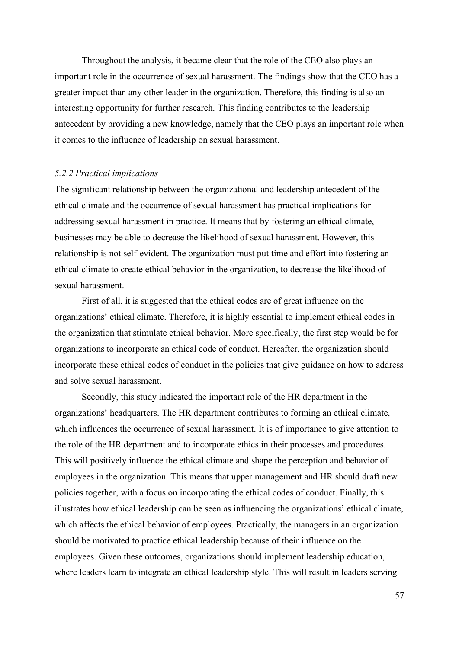Throughout the analysis, it became clear that the role of the CEO also plays an important role in the occurrence of sexual harassment. The findings show that the CEO has a greater impact than any other leader in the organization. Therefore, this finding is also an interesting opportunity for further research. This finding contributes to the leadership antecedent by providing a new knowledge, namely that the CEO plays an important role when it comes to the influence of leadership on sexual harassment.

#### <span id="page-56-0"></span>*5.2.2 Practical implications*

The significant relationship between the organizational and leadership antecedent of the ethical climate and the occurrence of sexual harassment has practical implications for addressing sexual harassment in practice. It means that by fostering an ethical climate, businesses may be able to decrease the likelihood of sexual harassment. However, this relationship is not self-evident. The organization must put time and effort into fostering an ethical climate to create ethical behavior in the organization, to decrease the likelihood of sexual harassment.

First of all, it is suggested that the ethical codes are of great influence on the organizations' ethical climate. Therefore, it is highly essential to implement ethical codes in the organization that stimulate ethical behavior. More specifically, the first step would be for organizations to incorporate an ethical code of conduct. Hereafter, the organization should incorporate these ethical codes of conduct in the policies that give guidance on how to address and solve sexual harassment.

Secondly, this study indicated the important role of the HR department in the organizations' headquarters. The HR department contributes to forming an ethical climate, which influences the occurrence of sexual harassment. It is of importance to give attention to the role of the HR department and to incorporate ethics in their processes and procedures. This will positively influence the ethical climate and shape the perception and behavior of employees in the organization. This means that upper management and HR should draft new policies together, with a focus on incorporating the ethical codes of conduct. Finally, this illustrates how ethical leadership can be seen as influencing the organizations' ethical climate, which affects the ethical behavior of employees. Practically, the managers in an organization should be motivated to practice ethical leadership because of their influence on the employees. Given these outcomes, organizations should implement leadership education, where leaders learn to integrate an ethical leadership style. This will result in leaders serving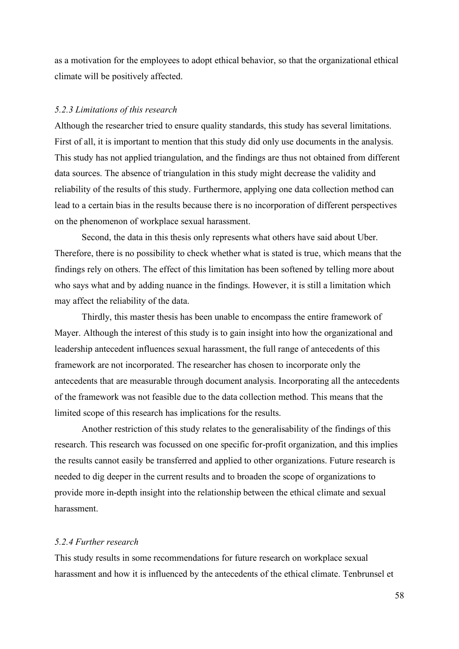as a motivation for the employees to adopt ethical behavior, so that the organizational ethical climate will be positively affected.

#### <span id="page-57-0"></span>*5.2.3 Limitations of this research*

Although the researcher tried to ensure quality standards, this study has several limitations. First of all, it is important to mention that this study did only use documents in the analysis. This study has not applied triangulation, and the findings are thus not obtained from different data sources. The absence of triangulation in this study might decrease the validity and reliability of the results of this study. Furthermore, applying one data collection method can lead to a certain bias in the results because there is no incorporation of different perspectives on the phenomenon of workplace sexual harassment.

Second, the data in this thesis only represents what others have said about Uber. Therefore, there is no possibility to check whether what is stated is true, which means that the findings rely on others. The effect of this limitation has been softened by telling more about who says what and by adding nuance in the findings. However, it is still a limitation which may affect the reliability of the data.

Thirdly, this master thesis has been unable to encompass the entire framework of Mayer. Although the interest of this study is to gain insight into how the organizational and leadership antecedent influences sexual harassment, the full range of antecedents of this framework are not incorporated. The researcher has chosen to incorporate only the antecedents that are measurable through document analysis. Incorporating all the antecedents of the framework was not feasible due to the data collection method. This means that the limited scope of this research has implications for the results.

Another restriction of this study relates to the generalisability of the findings of this research. This research was focussed on one specific for-profit organization, and this implies the results cannot easily be transferred and applied to other organizations. Future research is needed to dig deeper in the current results and to broaden the scope of organizations to provide more in-depth insight into the relationship between the ethical climate and sexual harassment.

#### <span id="page-57-1"></span>*5.2.4 Further research*

This study results in some recommendations for future research on workplace sexual harassment and how it is influenced by the antecedents of the ethical climate. Tenbrunsel et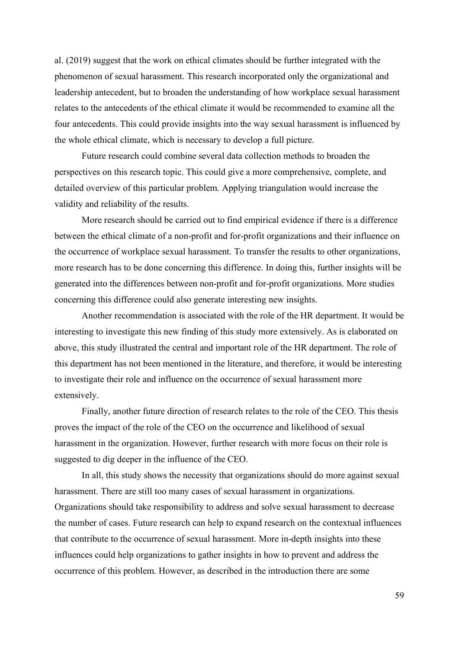al. (2019) suggest that the work on ethical climates should be further integrated with the phenomenon of sexual harassment. This research incorporated only the organizational and leadership antecedent, but to broaden the understanding of how workplace sexual harassment relates to the antecedents of the ethical climate it would be recommended to examine all the four antecedents. This could provide insights into the way sexual harassment is influenced by the whole ethical climate, which is necessary to develop a full picture.

Future research could combine several data collection methods to broaden the perspectives on this research topic. This could give a more comprehensive, complete, and detailed overview of this particular problem. Applying triangulation would increase the validity and reliability of the results.

More research should be carried out to find empirical evidence if there is a difference between the ethical climate of a non-profit and for-profit organizations and their influence on the occurrence of workplace sexual harassment. To transfer the results to other organizations, more research has to be done concerning this difference. In doing this, further insights will be generated into the differences between non-profit and for-profit organizations. More studies concerning this difference could also generate interesting new insights.

Another recommendation is associated with the role of the HR department. It would be interesting to investigate this new finding of this study more extensively. As is elaborated on above, this study illustrated the central and important role of the HR department. The role of this department has not been mentioned in the literature, and therefore, it would be interesting to investigate their role and influence on the occurrence of sexual harassment more extensively.

Finally, another future direction of research relates to the role of the CEO. This thesis proves the impact of the role of the CEO on the occurrence and likelihood of sexual harassment in the organization. However, further research with more focus on their role is suggested to dig deeper in the influence of the CEO.

In all, this study shows the necessity that organizations should do more against sexual harassment. There are still too many cases of sexual harassment in organizations. Organizations should take responsibility to address and solve sexual harassment to decrease the number of cases. Future research can help to expand research on the contextual influences that contribute to the occurrence of sexual harassment. More in-depth insights into these influences could help organizations to gather insights in how to prevent and address the occurrence of this problem. However, as described in the introduction there are some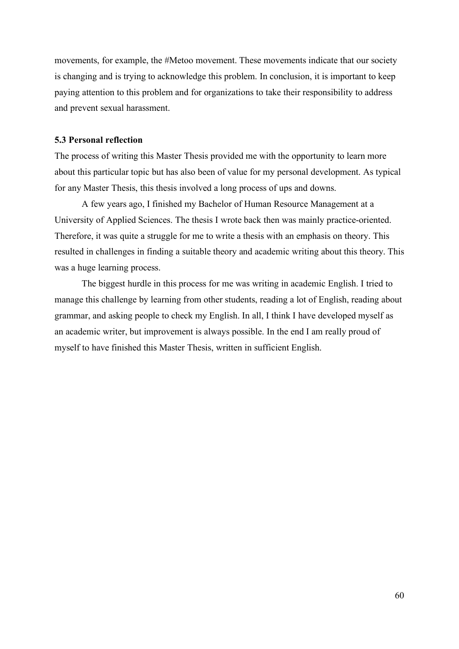movements, for example, the #Metoo movement. These movements indicate that our society is changing and is trying to acknowledge this problem. In conclusion, it is important to keep paying attention to this problem and for organizations to take their responsibility to address and prevent sexual harassment.

#### <span id="page-59-0"></span>**5.3 Personal reflection**

The process of writing this Master Thesis provided me with the opportunity to learn more about this particular topic but has also been of value for my personal development. As typical for any Master Thesis, this thesis involved a long process of ups and downs.

A few years ago, I finished my Bachelor of Human Resource Management at a University of Applied Sciences. The thesis I wrote back then was mainly practice-oriented. Therefore, it was quite a struggle for me to write a thesis with an emphasis on theory. This resulted in challenges in finding a suitable theory and academic writing about this theory. This was a huge learning process.

The biggest hurdle in this process for me was writing in academic English. I tried to manage this challenge by learning from other students, reading a lot of English, reading about grammar, and asking people to check my English. In all, I think I have developed myself as an academic writer, but improvement is always possible. In the end I am really proud of myself to have finished this Master Thesis, written in sufficient English.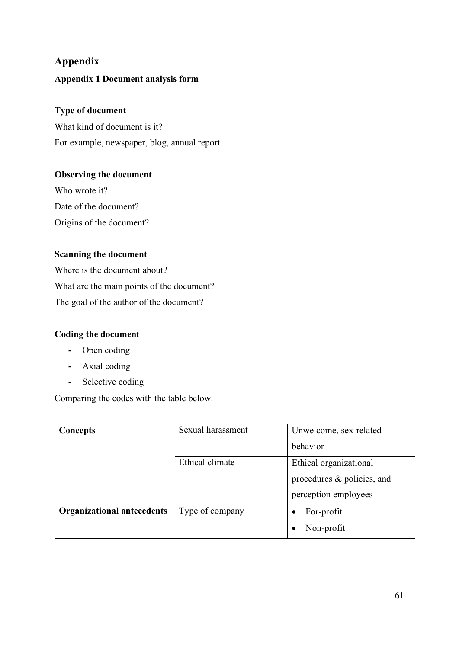## <span id="page-60-1"></span><span id="page-60-0"></span>**Appendix Appendix 1 Document analysis form**

## **Type of document**

What kind of document is it? For example, newspaper, blog, annual report

## **Observing the document**

Who wrote it? Date of the document? Origins of the document?

## **Scanning the document**

Where is the document about? What are the main points of the document? The goal of the author of the document?

## **Coding the document**

- **-** Open coding
- **-** Axial coding
- **-** Selective coding

Comparing the codes with the table below.

| Concepts                          | Sexual harassment | Unwelcome, sex-related     |
|-----------------------------------|-------------------|----------------------------|
|                                   |                   | behavior                   |
|                                   | Ethical climate   | Ethical organizational     |
|                                   |                   | procedures & policies, and |
|                                   |                   | perception employees       |
| <b>Organizational antecedents</b> | Type of company   | For-profit                 |
|                                   |                   | Non-profit                 |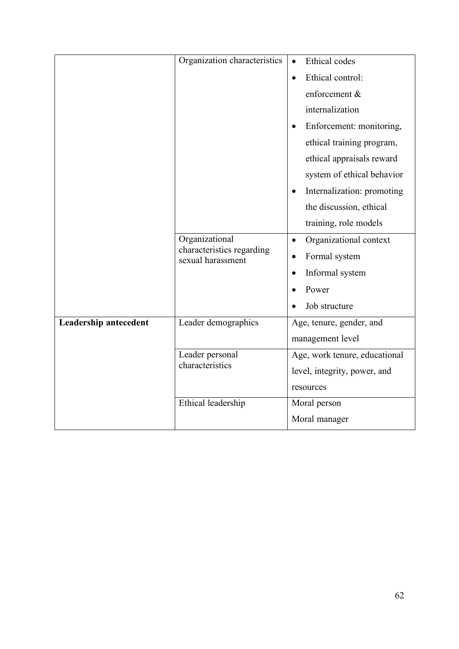|                              | Organization characteristics                   | Ethical codes<br>$\bullet$            |
|------------------------------|------------------------------------------------|---------------------------------------|
|                              |                                                | Ethical control:<br>$\bullet$         |
|                              |                                                | enforcement &                         |
|                              |                                                | internalization                       |
|                              |                                                | Enforcement: monitoring,<br>$\bullet$ |
|                              |                                                | ethical training program,             |
|                              |                                                | ethical appraisals reward             |
|                              |                                                | system of ethical behavior            |
|                              |                                                | Internalization: promoting            |
|                              |                                                | the discussion, ethical               |
|                              |                                                | training, role models                 |
|                              | Organizational                                 | Organizational context<br>$\bullet$   |
|                              | characteristics regarding<br>sexual harassment | Formal system                         |
|                              |                                                | Informal system<br>$\bullet$          |
|                              |                                                | Power                                 |
|                              |                                                | Job structure                         |
| <b>Leadership antecedent</b> | Leader demographics                            | Age, tenure, gender, and              |
|                              |                                                | management level                      |
|                              | Leader personal<br>characteristics             | Age, work tenure, educational         |
|                              | level, integrity, power, and                   |                                       |
|                              |                                                | resources                             |
|                              | Ethical leadership                             | Moral person                          |
|                              |                                                | Moral manager                         |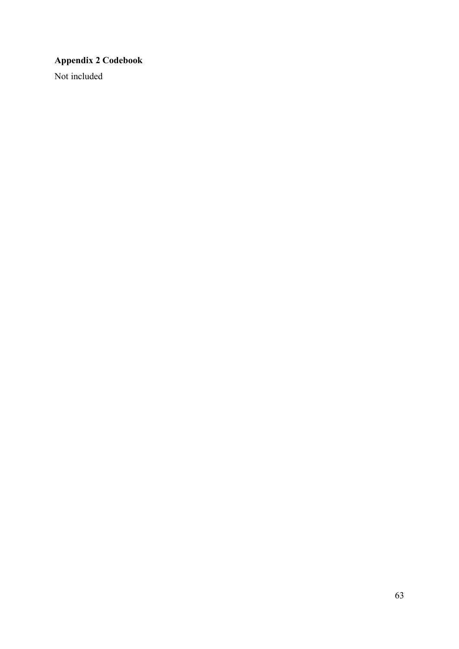## <span id="page-62-0"></span>**Appendix 2 Codebook**

Not included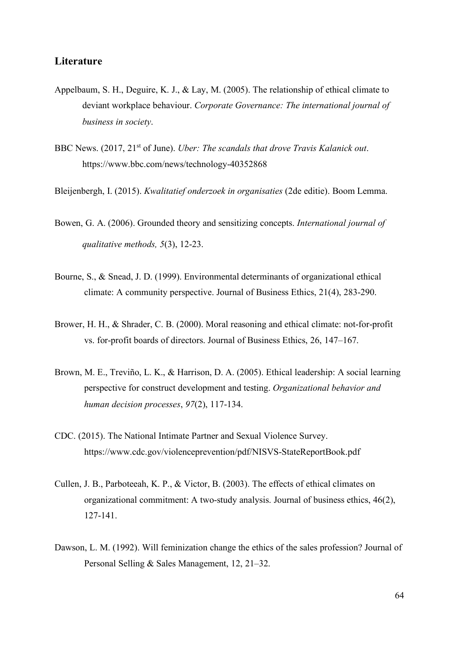#### <span id="page-63-0"></span>**Literature**

- Appelbaum, S. H., Deguire, K. J., & Lay, M. (2005). The relationship of ethical climate to deviant workplace behaviour. *Corporate Governance: The international journal of business in society*.
- BBC News. (2017, 21st of June). *Uber: The scandals that drove Travis Kalanick out*. https://www.bbc.com/news/technology-40352868
- Bleijenbergh, I. (2015). *Kwalitatief onderzoek in organisaties* (2de editie). Boom Lemma.
- Bowen, G. A. (2006). Grounded theory and sensitizing concepts. *International journal of qualitative methods, 5*(3), 12-23.
- Bourne, S., & Snead, J. D. (1999). Environmental determinants of organizational ethical climate: A community perspective. Journal of Business Ethics, 21(4), 283-290.
- Brower, H. H., & Shrader, C. B. (2000). Moral reasoning and ethical climate: not-for-profit vs. for-profit boards of directors. Journal of Business Ethics, 26, 147–167.
- Brown, M. E., Treviño, L. K., & Harrison, D. A. (2005). Ethical leadership: A social learning perspective for construct development and testing. *Organizational behavior and human decision processes*, *97*(2), 117-134.
- CDC. (2015). The National Intimate Partner and Sexual Violence Survey. https://www.cdc.gov/violenceprevention/pdf/NISVS-StateReportBook.pdf
- Cullen, J. B., Parboteeah, K. P., & Victor, B. (2003). The effects of ethical climates on organizational commitment: A two-study analysis. Journal of business ethics, 46(2), 127-141.
- Dawson, L. M. (1992). Will feminization change the ethics of the sales profession? Journal of Personal Selling & Sales Management, 12, 21–32.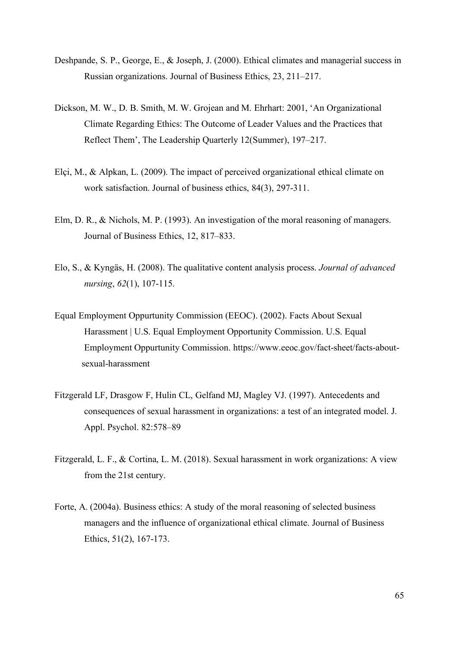- Deshpande, S. P., George, E., & Joseph, J. (2000). Ethical climates and managerial success in Russian organizations. Journal of Business Ethics, 23, 211–217.
- Dickson, M. W., D. B. Smith, M. W. Grojean and M. Ehrhart: 2001, 'An Organizational Climate Regarding Ethics: The Outcome of Leader Values and the Practices that Reflect Them', The Leadership Quarterly 12(Summer), 197–217.
- Elçi, M., & Alpkan, L. (2009). The impact of perceived organizational ethical climate on work satisfaction. Journal of business ethics, 84(3), 297-311.
- Elm, D. R., & Nichols, M. P. (1993). An investigation of the moral reasoning of managers. Journal of Business Ethics, 12, 817–833.
- Elo, S., & Kyngäs, H. (2008). The qualitative content analysis process. *Journal of advanced nursing*, *62*(1), 107-115.
- Equal Employment Oppurtunity Commission (EEOC). (2002). Facts About Sexual Harassment | U.S. Equal Employment Opportunity Commission. U.S. Equal Employment Oppurtunity Commission. [https://www.eeoc.gov/fact-sheet/facts-about](https://www.eeoc.gov/fact-sheet/facts-about-sexual-harassment)[sexual-harassment](https://www.eeoc.gov/fact-sheet/facts-about-sexual-harassment)
- Fitzgerald LF, Drasgow F, Hulin CL, Gelfand MJ, Magley VJ. (1997). Antecedents and consequences of sexual harassment in organizations: a test of an integrated model. J. Appl. Psychol. 82:578–89
- Fitzgerald, L. F., & Cortina, L. M. (2018). Sexual harassment in work organizations: A view from the 21st century.
- Forte, A. (2004a). Business ethics: A study of the moral reasoning of selected business managers and the influence of organizational ethical climate. Journal of Business Ethics, 51(2), 167-173.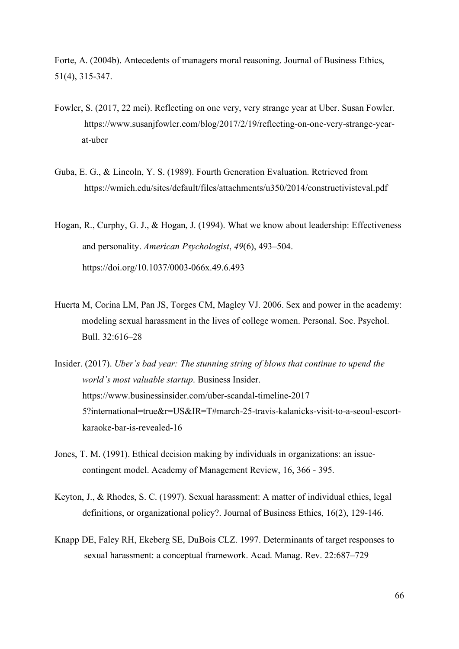Forte, A. (2004b). Antecedents of managers moral reasoning. Journal of Business Ethics, 51(4), 315-347.

- Fowler, S. (2017, 22 mei). Reflecting on one very, very strange year at Uber. Susan Fowler. https://www.susanjfowler.com/blog/2017/2/19/reflecting-on-one-very-strange-yearat-uber
- Guba, E. G., & Lincoln, Y. S. (1989). Fourth Generation Evaluation. Retrieved from https://wmich.edu/sites/default/files/attachments/u350/2014/constructivisteval.pdf

Hogan, R., Curphy, G. J., & Hogan, J. (1994). What we know about leadership: Effectiveness and personality. *American Psychologist*, *49*(6), 493–504. https://doi.org/10.1037/0003-066x.49.6.493

- Huerta M, Corina LM, Pan JS, Torges CM, Magley VJ. 2006. Sex and power in the academy: modeling sexual harassment in the lives of college women. Personal. Soc. Psychol. Bull. 32:616–28
- Insider. (2017). *Uber's bad year: The stunning string of blows that continue to upend the world's most valuable startup*. Business Insider. https://www.businessinsider.com/uber-scandal-timeline-2017 5?international=true&r=US&IR=T#march-25-travis-kalanicks-visit-to-a-seoul-escortkaraoke-bar-is-revealed-16
- Jones, T. M. (1991). Ethical decision making by individuals in organizations: an issuecontingent model. Academy of Management Review, 16, 366 - 395.
- Keyton, J., & Rhodes, S. C. (1997). Sexual harassment: A matter of individual ethics, legal definitions, or organizational policy?. Journal of Business Ethics, 16(2), 129-146.
- Knapp DE, Faley RH, Ekeberg SE, DuBois CLZ. 1997. Determinants of target responses to sexual harassment: a conceptual framework. Acad. Manag. Rev. 22:687–729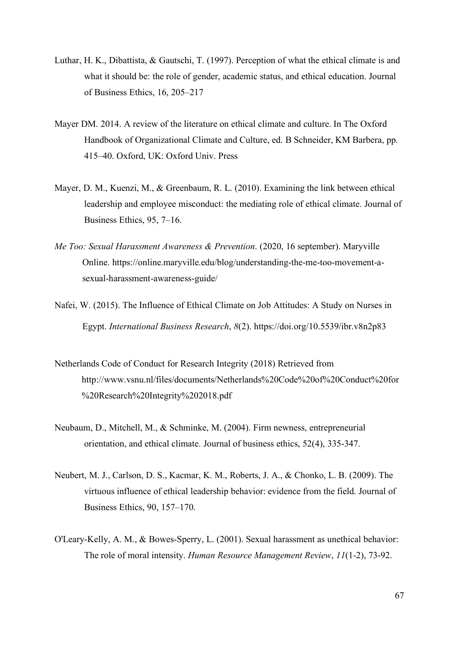- Luthar, H. K., Dibattista, & Gautschi, T. (1997). Perception of what the ethical climate is and what it should be: the role of gender, academic status, and ethical education. Journal of Business Ethics, 16, 205–217
- Mayer DM. 2014. A review of the literature on ethical climate and culture. In The Oxford Handbook of Organizational Climate and Culture, ed. B Schneider, KM Barbera, pp. 415–40. Oxford, UK: Oxford Univ. Press
- Mayer, D. M., Kuenzi, M., & Greenbaum, R. L. (2010). Examining the link between ethical leadership and employee misconduct: the mediating role of ethical climate. Journal of Business Ethics, 95, 7–16.
- *Me Too: Sexual Harassment Awareness & Prevention*. (2020, 16 september). Maryville Online. https://online.maryville.edu/blog/understanding-the-me-too-movement-asexual-harassment-awareness-guide/
- Nafei, W. (2015). The Influence of Ethical Climate on Job Attitudes: A Study on Nurses in Egypt. *International Business Research*, *8*(2). https://doi.org/10.5539/ibr.v8n2p83
- Netherlands Code of Conduct for Research Integrity (2018) Retrieved from http://www.vsnu.nl/files/documents/Netherlands%20Code%20of%20Conduct%20for %20Research%20Integrity%202018.pdf
- Neubaum, D., Mitchell, M., & Schminke, M. (2004). Firm newness, entrepreneurial orientation, and ethical climate. Journal of business ethics, 52(4), 335-347.
- Neubert, M. J., Carlson, D. S., Kacmar, K. M., Roberts, J. A., & Chonko, L. B. (2009). The virtuous influence of ethical leadership behavior: evidence from the field. Journal of Business Ethics, 90, 157–170.
- O'Leary-Kelly, A. M., & Bowes-Sperry, L. (2001). Sexual harassment as unethical behavior: The role of moral intensity. *Human Resource Management Review*, *11*(1-2), 73-92.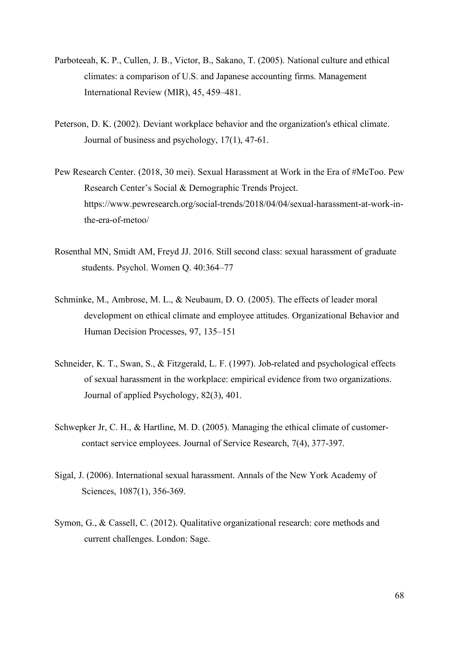- Parboteeah, K. P., Cullen, J. B., Victor, B., Sakano, T. (2005). National culture and ethical climates: a comparison of U.S. and Japanese accounting firms. Management International Review (MIR), 45, 459–481.
- Peterson, D. K. (2002). Deviant workplace behavior and the organization's ethical climate. Journal of business and psychology, 17(1), 47-61.
- Pew Research Center. (2018, 30 mei). Sexual Harassment at Work in the Era of #MeToo. Pew Research Center's Social & Demographic Trends Project. https://www.pewresearch.org/social-trends/2018/04/04/sexual-harassment-at-work-inthe-era-of-metoo/
- Rosenthal MN, Smidt AM, Freyd JJ. 2016. Still second class: sexual harassment of graduate students. Psychol. Women Q. 40:364–77
- Schminke, M., Ambrose, M. L., & Neubaum, D. O. (2005). The effects of leader moral development on ethical climate and employee attitudes. Organizational Behavior and Human Decision Processes, 97, 135–151
- Schneider, K. T., Swan, S., & Fitzgerald, L. F. (1997). Job-related and psychological effects of sexual harassment in the workplace: empirical evidence from two organizations. Journal of applied Psychology, 82(3), 401.
- Schwepker Jr, C. H., & Hartline, M. D. (2005). Managing the ethical climate of customercontact service employees. Journal of Service Research, 7(4), 377-397.
- Sigal, J. (2006). International sexual harassment. Annals of the New York Academy of Sciences, 1087(1), 356-369.
- Symon, G., & Cassell, C. (2012). Qualitative organizational research: core methods and current challenges. London: Sage.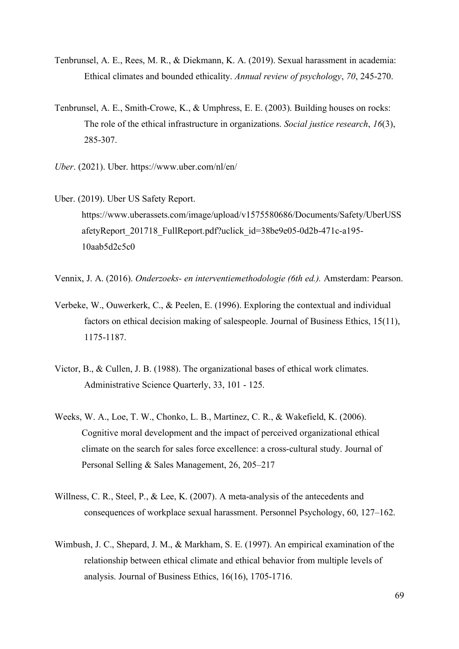- Tenbrunsel, A. E., Rees, M. R., & Diekmann, K. A. (2019). Sexual harassment in academia: Ethical climates and bounded ethicality. *Annual review of psychology*, *70*, 245-270.
- Tenbrunsel, A. E., Smith-Crowe, K., & Umphress, E. E. (2003). Building houses on rocks: The role of the ethical infrastructure in organizations. *Social justice research*, *16*(3), 285-307.
- *Uber*. (2021). Uber. https://www.uber.com/nl/en/
- Uber. (2019). Uber US Safety Report. https://www.uberassets.com/image/upload/v1575580686/Documents/Safety/UberUSS afetyReport\_201718\_FullReport.pdf?uclick\_id=38be9e05-0d2b-471c-a195- 10aab5d2c5c0
- Vennix, J. A. (2016). *Onderzoeks- en interventiemethodologie (6th ed.).* Amsterdam: Pearson.
- Verbeke, W., Ouwerkerk, C., & Peelen, E. (1996). Exploring the contextual and individual factors on ethical decision making of salespeople. Journal of Business Ethics, 15(11), 1175-1187.
- Victor, B., & Cullen, J. B. (1988). The organizational bases of ethical work climates. Administrative Science Quarterly, 33, 101 - 125.
- Weeks, W. A., Loe, T. W., Chonko, L. B., Martinez, C. R., & Wakefield, K. (2006). Cognitive moral development and the impact of perceived organizational ethical climate on the search for sales force excellence: a cross-cultural study. Journal of Personal Selling & Sales Management, 26, 205–217
- Willness, C. R., Steel, P., & Lee, K. (2007). A meta-analysis of the antecedents and consequences of workplace sexual harassment. Personnel Psychology, 60, 127–162.
- Wimbush, J. C., Shepard, J. M., & Markham, S. E. (1997). An empirical examination of the relationship between ethical climate and ethical behavior from multiple levels of analysis. Journal of Business Ethics, 16(16), 1705-1716.